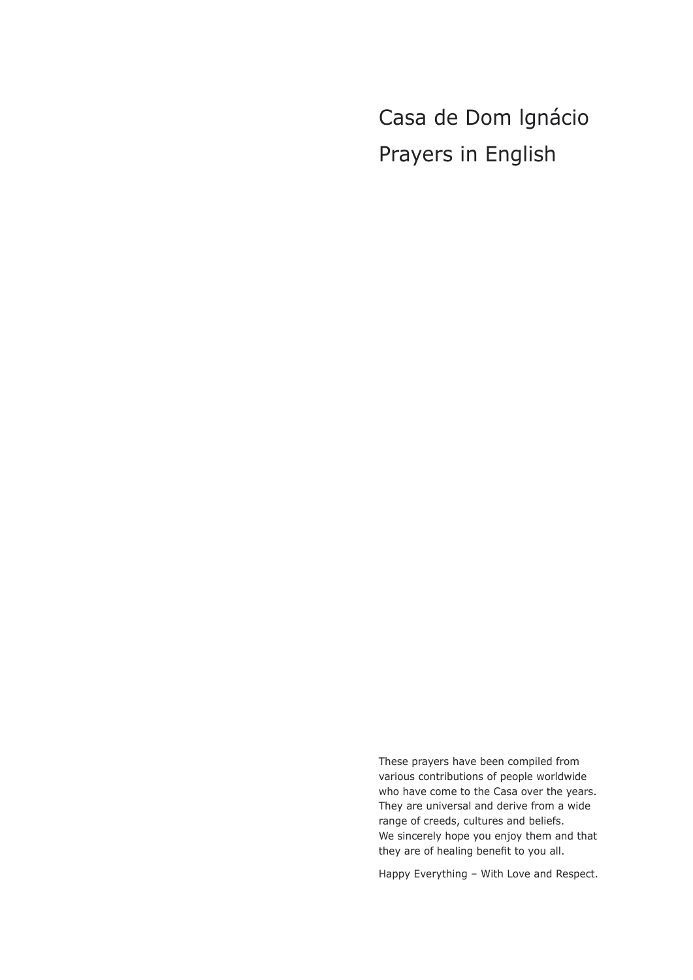Casa de Dom lgnácio Prayers in English

These prayers have been compiled from various contributions of people worldwide who have come to the Casa over the years. They are universal and derive from a wide range of creeds, cultures and beliefs. We sincerely hope you enjoy them and that they are of healing benefit to you all.

Happy Everything – With Love and Respect.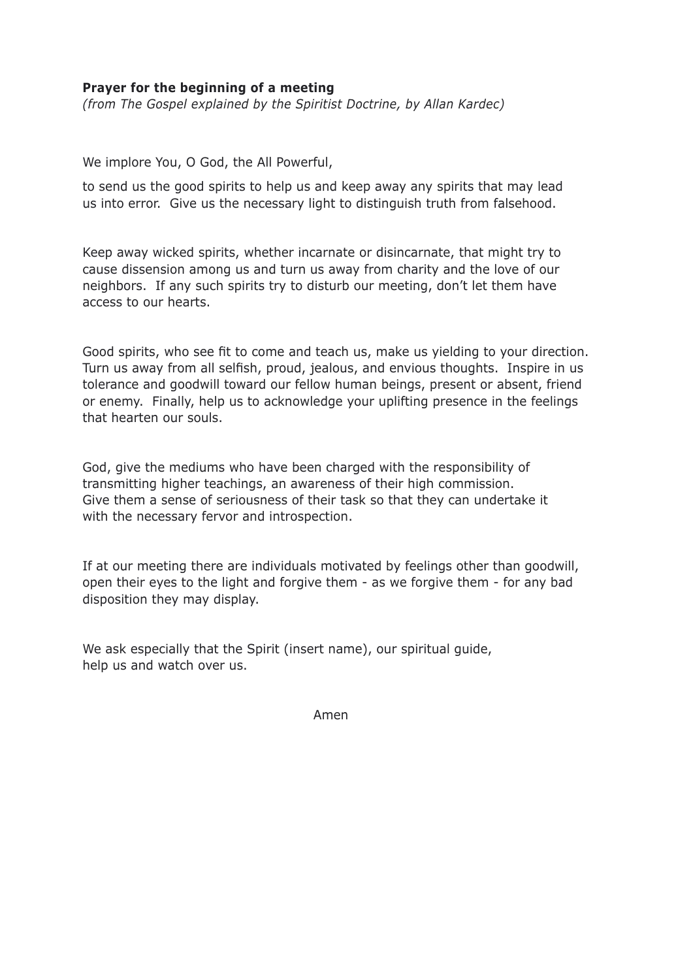#### **Prayer for the beginning of a meeting**

*(from The Gospel explained by the Spiritist Doctrine, by Allan Kardec)*

We implore You, O God, the All Powerful,

to send us the good spirits to help us and keep away any spirits that may lead us into error. Give us the necessary light to distinguish truth from falsehood.

Keep away wicked spirits, whether incarnate or disincarnate, that might try to cause dissension among us and turn us away from charity and the love of our neighbors. If any such spirits try to disturb our meeting, don't let them have access to our hearts.

Good spirits, who see fit to come and teach us, make us yielding to your direction. Turn us away from all selfish, proud, jealous, and envious thoughts. Inspire in us tolerance and goodwill toward our fellow human beings, present or absent, friend or enemy. Finally, help us to acknowledge your uplifting presence in the feelings that hearten our souls.

God, give the mediums who have been charged with the responsibility of transmitting higher teachings, an awareness of their high commission. Give them a sense of seriousness of their task so that they can undertake it with the necessary fervor and introspection.

If at our meeting there are individuals motivated by feelings other than goodwill, open their eyes to the light and forgive them - as we forgive them - for any bad disposition they may display.

We ask especially that the Spirit (insert name), our spiritual guide, help us and watch over us.

Amen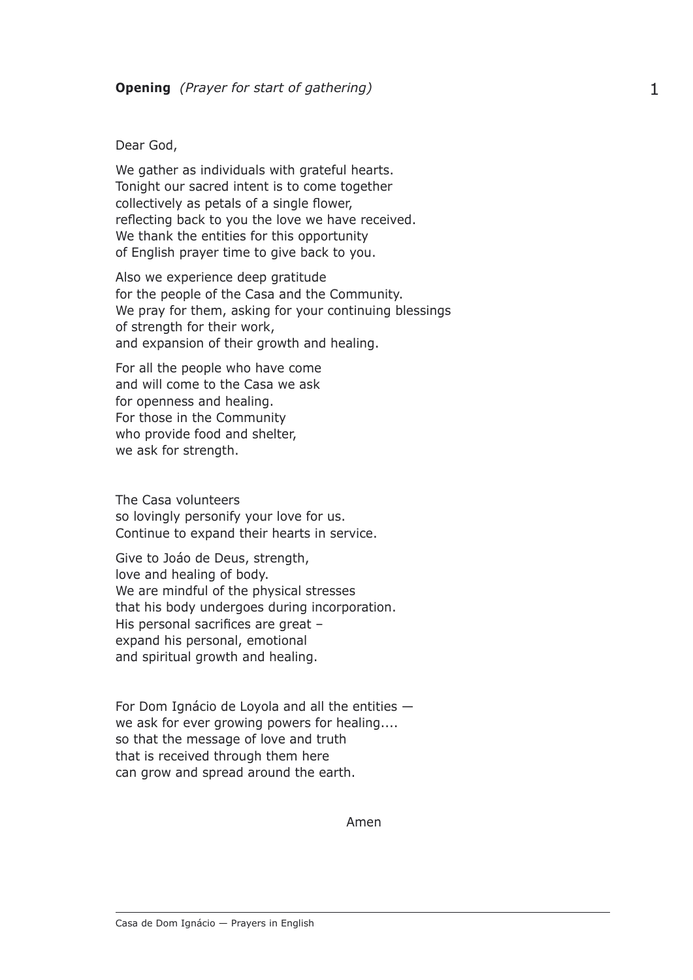#### Dear God,

We gather as individuals with grateful hearts. Tonight our sacred intent is to come together collectively as petals of a single flower, reflecting back to you the love we have received. We thank the entities for this opportunity of English prayer time to give back to you.

Also we experience deep gratitude for the people of the Casa and the Community. We pray for them, asking for your continuing blessings of strength for their work, and expansion of their growth and healing.

For all the people who have come and will come to the Casa we ask for openness and healing. For those in the Community who provide food and shelter, we ask for strength.

The Casa volunteers so lovingly personify your love for us. Continue to expand their hearts in service.

Give to Joáo de Deus, strength, love and healing of body. We are mindful of the physical stresses that his body undergoes during incorporation. His personal sacrifices are great – expand his personal, emotional and spiritual growth and healing.

For Dom Ignácio de Loyola and all the entities we ask for ever growing powers for healing.... so that the message of love and truth that is received through them here can grow and spread around the earth.

Amen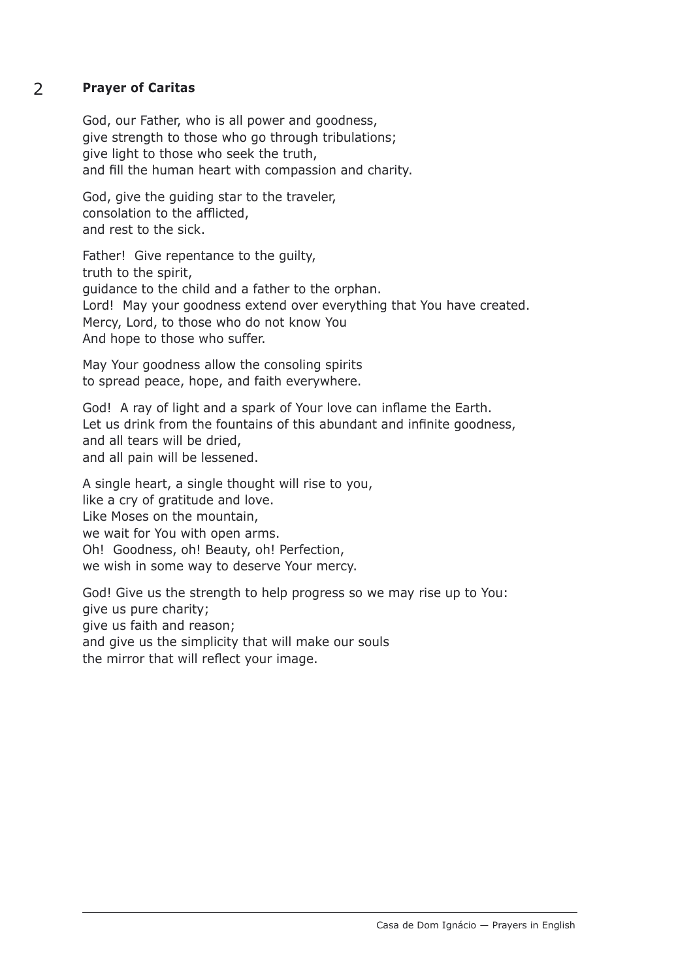### 2 **Prayer of Caritas**

God, our Father, who is all power and goodness, give strength to those who go through tribulations; give light to those who seek the truth, and fill the human heart with compassion and charity.

God, give the guiding star to the traveler, consolation to the afflicted, and rest to the sick.

Father! Give repentance to the guilty, truth to the spirit, guidance to the child and a father to the orphan. Lord! May your goodness extend over everything that You have created. Mercy, Lord, to those who do not know You And hope to those who suffer.

May Your goodness allow the consoling spirits to spread peace, hope, and faith everywhere.

God! A ray of light and a spark of Your love can inflame the Earth. Let us drink from the fountains of this abundant and infinite goodness, and all tears will be dried, and all pain will be lessened.

A single heart, a single thought will rise to you, like a cry of gratitude and love. Like Moses on the mountain, we wait for You with open arms. Oh! Goodness, oh! Beauty, oh! Perfection, we wish in some way to deserve Your mercy.

God! Give us the strength to help progress so we may rise up to You: give us pure charity; give us faith and reason; and give us the simplicity that will make our souls the mirror that will reflect your image.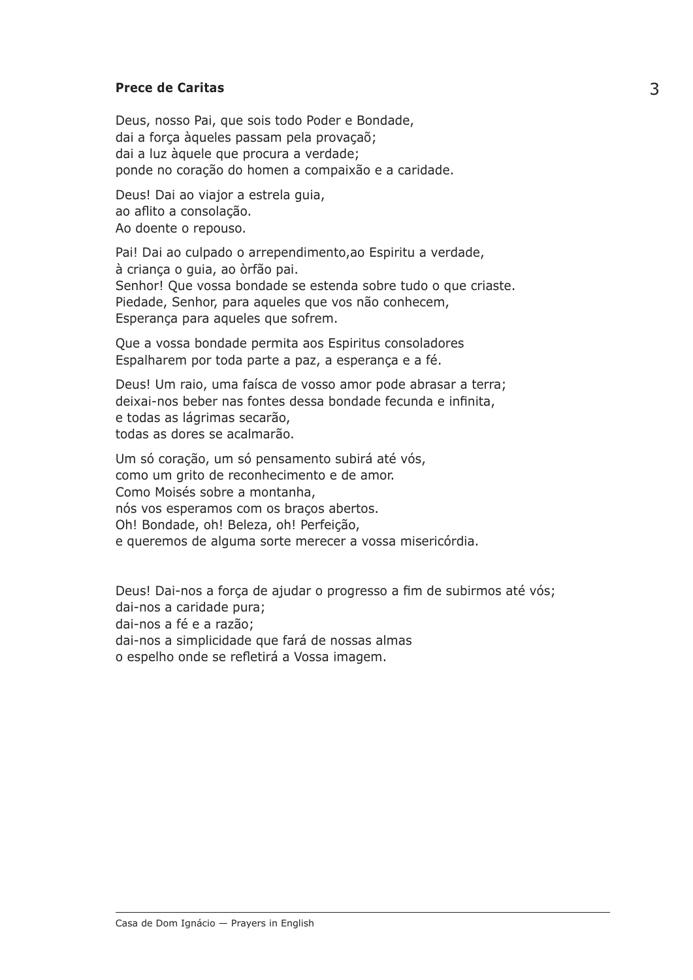#### **Prece de Caritas** 3

Deus, nosso Pai, que sois todo Poder e Bondade, dai a força àqueles passam pela provaçaõ; dai a luz àquele que procura a verdade; ponde no coração do homen a compaixão e a caridade.

Deus! Dai ao viajor a estrela guia, ao aflito a consolação. Ao doente o repouso.

Pai! Dai ao culpado o arrependimento,ao Espiritu a verdade, à criança o guia, ao òrfão pai. Senhor! Que vossa bondade se estenda sobre tudo o que criaste. Piedade, Senhor, para aqueles que vos não conhecem, Esperança para aqueles que sofrem.

Que a vossa bondade permita aos Espiritus consoladores Espalharem por toda parte a paz, a esperança e a fé.

Deus! Um raio, uma faísca de vosso amor pode abrasar a terra; deixai-nos beber nas fontes dessa bondade fecunda e infinita, e todas as lágrimas secarão, todas as dores se acalmarão.

Um só coração, um só pensamento subirá até vós, como um grito de reconhecimento e de amor. Como Moisés sobre a montanha, nós vos esperamos com os braços abertos. Oh! Bondade, oh! Beleza, oh! Perfeição, e queremos de alguma sorte merecer a vossa misericórdia.

Deus! Dai-nos a força de ajudar o progresso a fim de subirmos até vós; dai-nos a caridade pura; dai-nos a fé e a razão; dai-nos a simplicidade que fará de nossas almas o espelho onde se refletirá a Vossa imagem.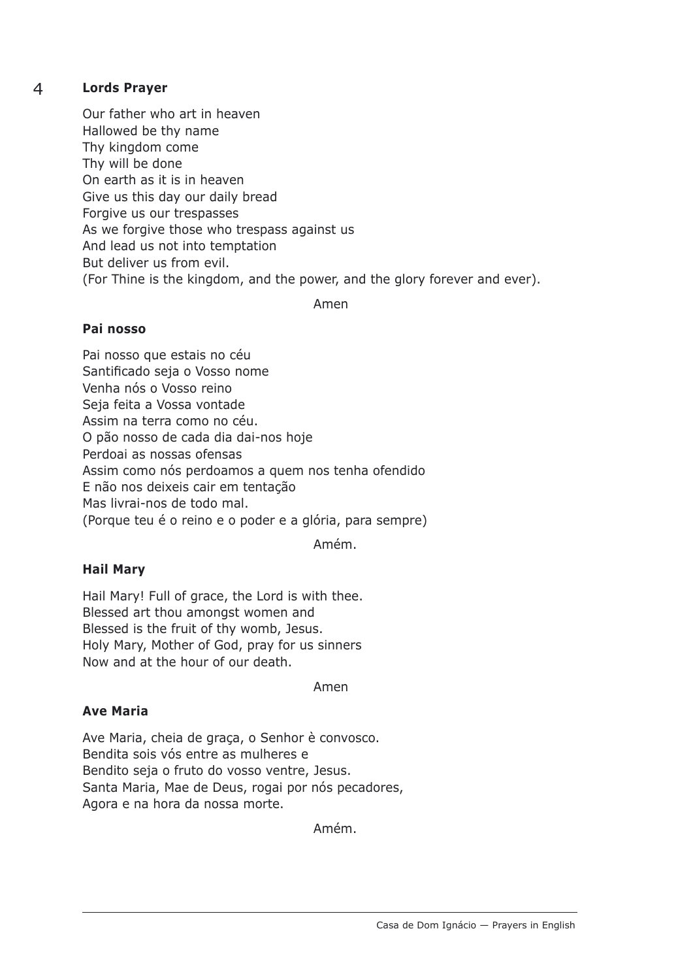# 4 **Lords Prayer**

Our father who art in heaven Hallowed be thy name Thy kingdom come Thy will be done On earth as it is in heaven Give us this day our daily bread Forgive us our trespasses As we forgive those who trespass against us And lead us not into temptation But deliver us from evil. (For Thine is the kingdom, and the power, and the glory forever and ever).

Amen

# **Pai nosso**

Pai nosso que estais no céu Santificado seja o Vosso nome Venha nós o Vosso reino Seja feita a Vossa vontade Assim na terra como no céu. O pão nosso de cada dia dai-nos hoje Perdoai as nossas ofensas Assim como nós perdoamos a quem nos tenha ofendido E não nos deixeis cair em tentação Mas livrai-nos de todo mal. (Porque teu é o reino e o poder e a glória, para sempre)

Amém.

# **Hail Mary**

Hail Mary! Full of grace, the Lord is with thee. Blessed art thou amongst women and Blessed is the fruit of thy womb, Jesus. Holy Mary, Mother of God, pray for us sinners Now and at the hour of our death.

Amen

# **Ave Maria**

Ave Maria, cheia de graça, o Senhor è convosco. Bendita sois vós entre as mulheres e Bendito seja o fruto do vosso ventre, Jesus. Santa Maria, Mae de Deus, rogai por nós pecadores, Agora e na hora da nossa morte.

Amém.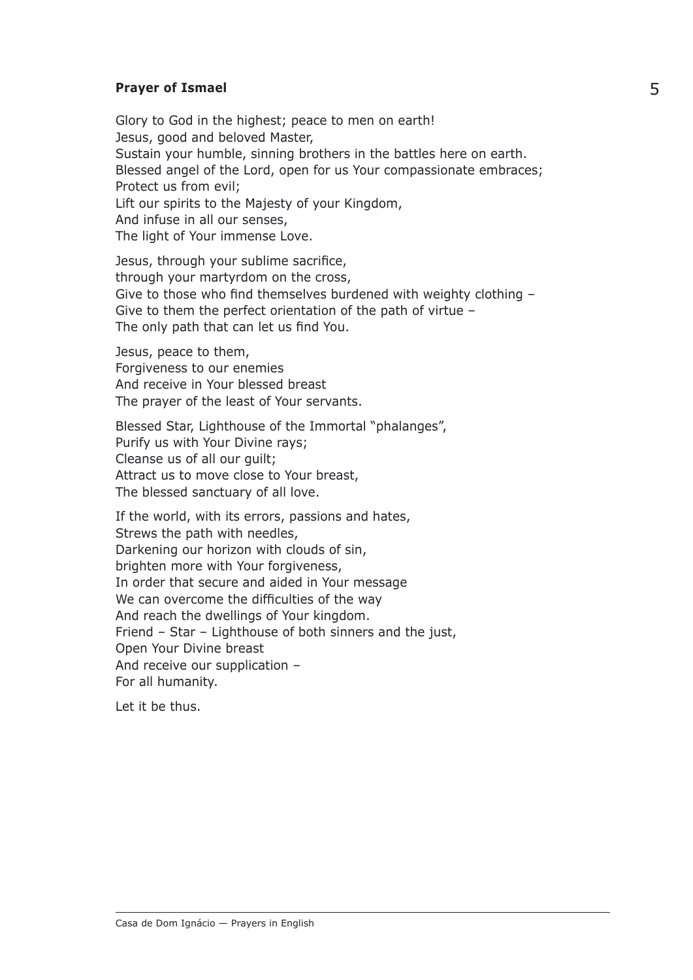#### **Prayer of Ismael** 5

Glory to God in the highest; peace to men on earth! Jesus, good and beloved Master, Sustain your humble, sinning brothers in the battles here on earth. Blessed angel of the Lord, open for us Your compassionate embraces; Protect us from evil; Lift our spirits to the Majesty of your Kingdom, And infuse in all our senses, The light of Your immense Love.

Jesus, through your sublime sacrifice, through your martyrdom on the cross, Give to those who find themselves burdened with weighty clothing – Give to them the perfect orientation of the path of virtue – The only path that can let us find You.

Jesus, peace to them, Forgiveness to our enemies And receive in Your blessed breast The prayer of the least of Your servants.

Blessed Star, Lighthouse of the Immortal "phalanges", Purify us with Your Divine rays; Cleanse us of all our guilt; Attract us to move close to Your breast, The blessed sanctuary of all love.

If the world, with its errors, passions and hates, Strews the path with needles, Darkening our horizon with clouds of sin, brighten more with Your forgiveness, In order that secure and aided in Your message We can overcome the difficulties of the way And reach the dwellings of Your kingdom. Friend – Star – Lighthouse of both sinners and the just, Open Your Divine breast And receive our supplication – For all humanity.

Let it be thus.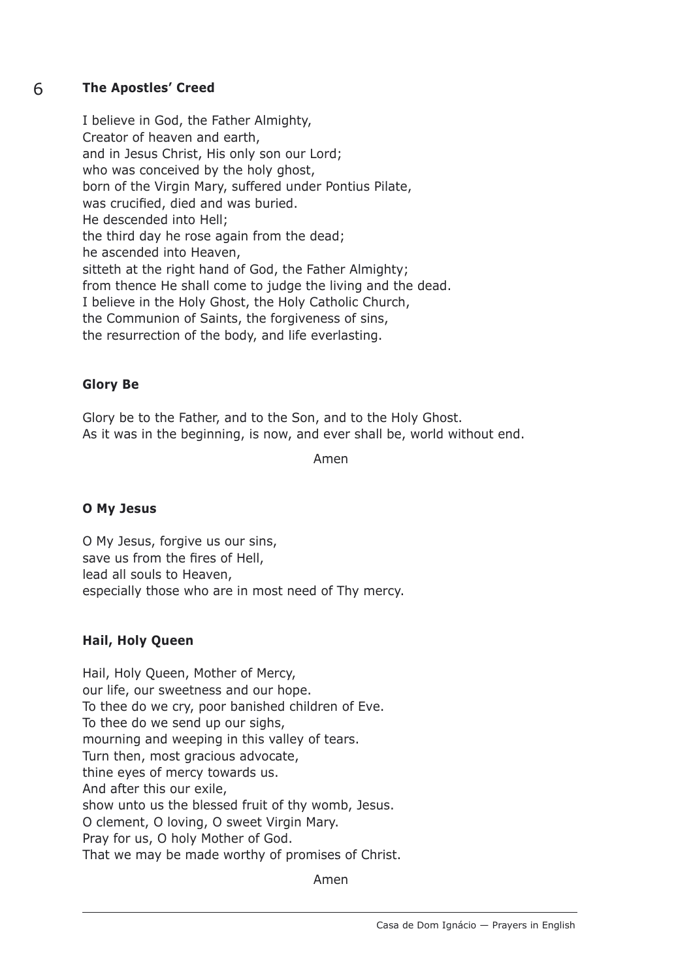# 6 **The Apostles' Creed**

I believe in God, the Father Almighty, Creator of heaven and earth, and in Jesus Christ, His only son our Lord; who was conceived by the holy ghost, born of the Virgin Mary, suffered under Pontius Pilate, was crucified, died and was buried. He descended into Hell; the third day he rose again from the dead; he ascended into Heaven, sitteth at the right hand of God, the Father Almighty; from thence He shall come to judge the living and the dead. I believe in the Holy Ghost, the Holy Catholic Church, the Communion of Saints, the forgiveness of sins, the resurrection of the body, and life everlasting.

### **Glory Be**

Glory be to the Father, and to the Son, and to the Holy Ghost. As it was in the beginning, is now, and ever shall be, world without end.

Amen

### **O My Jesus**

O My Jesus, forgive us our sins, save us from the fires of Hell, lead all souls to Heaven, especially those who are in most need of Thy mercy.

### **Hail, Holy Queen**

Hail, Holy Queen, Mother of Mercy, our life, our sweetness and our hope. To thee do we cry, poor banished children of Eve. To thee do we send up our sighs, mourning and weeping in this valley of tears. Turn then, most gracious advocate, thine eyes of mercy towards us. And after this our exile, show unto us the blessed fruit of thy womb, Jesus. O clement, O loving, O sweet Virgin Mary. Pray for us, O holy Mother of God. That we may be made worthy of promises of Christ.

Amen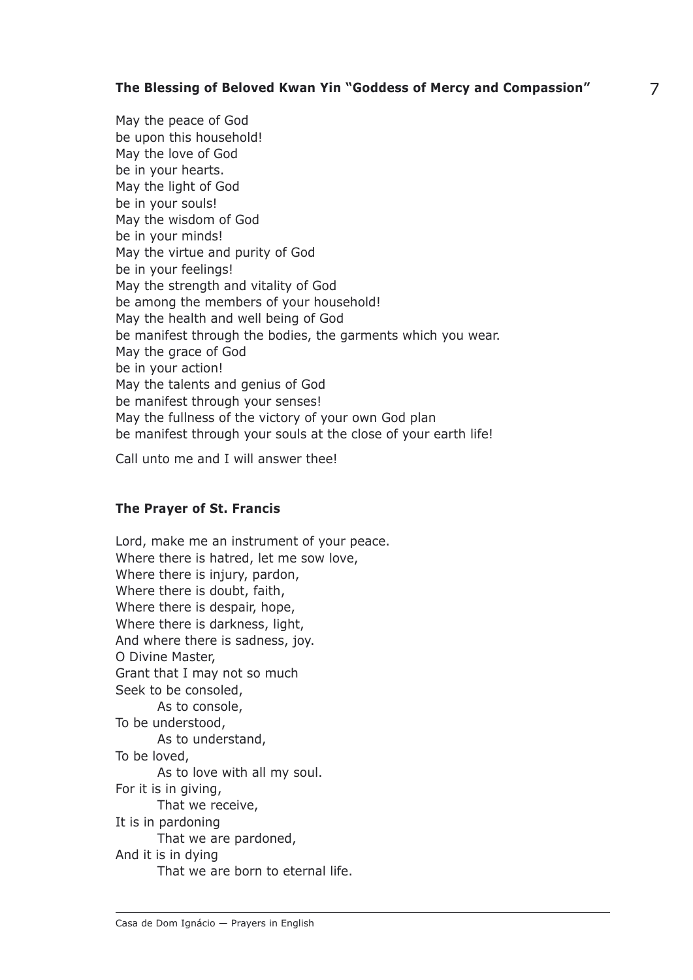#### **The Blessing of Beloved Kwan Yin "Goddess of Mercy and Compassion"** 7

May the peace of God be upon this household! May the love of God be in your hearts. May the light of God be in your souls! May the wisdom of God be in your minds! May the virtue and purity of God be in your feelings! May the strength and vitality of God be among the members of your household! May the health and well being of God be manifest through the bodies, the garments which you wear. May the grace of God be in your action! May the talents and genius of God be manifest through your senses! May the fullness of the victory of your own God plan be manifest through your souls at the close of your earth life!

Call unto me and I will answer thee!

#### **The Prayer of St. Francis**

Lord, make me an instrument of your peace. Where there is hatred, let me sow love, Where there is injury, pardon, Where there is doubt, faith, Where there is despair, hope, Where there is darkness, light, And where there is sadness, joy. O Divine Master, Grant that I may not so much Seek to be consoled, As to console, To be understood, As to understand, To be loved, As to love with all my soul. For it is in giving, That we receive, It is in pardoning That we are pardoned, And it is in dying That we are born to eternal life.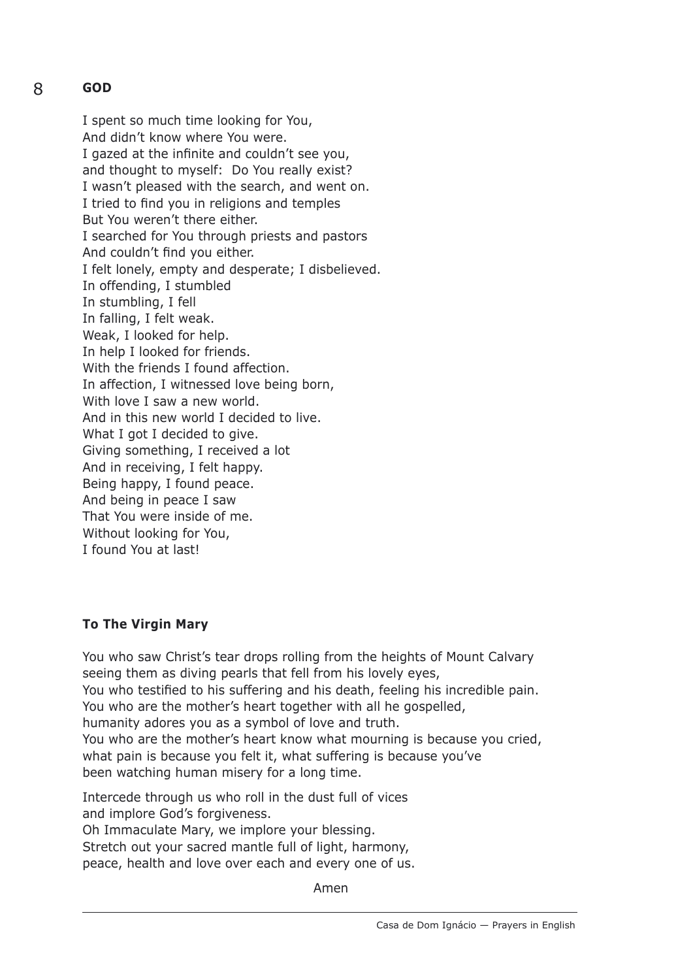# 8 **GOD**

I spent so much time looking for You, And didn't know where You were. I gazed at the infinite and couldn't see you, and thought to myself: Do You really exist? I wasn't pleased with the search, and went on. I tried to find you in religions and temples But You weren't there either. I searched for You through priests and pastors And couldn't find you either. I felt lonely, empty and desperate; I disbelieved. In offending, I stumbled In stumbling, I fell In falling, I felt weak. Weak, I looked for help. In help I looked for friends. With the friends I found affection. In affection, I witnessed love being born, With love I saw a new world. And in this new world I decided to live. What I got I decided to give. Giving something, I received a lot And in receiving, I felt happy. Being happy, I found peace. And being in peace I saw That You were inside of me. Without looking for You, I found You at last!

# **To The Virgin Mary**

You who saw Christ's tear drops rolling from the heights of Mount Calvary seeing them as diving pearls that fell from his lovely eyes, You who testified to his suffering and his death, feeling his incredible pain. You who are the mother's heart together with all he gospelled, humanity adores you as a symbol of love and truth. You who are the mother's heart know what mourning is because you cried, what pain is because you felt it, what suffering is because you've been watching human misery for a long time.

Intercede through us who roll in the dust full of vices and implore God's forgiveness. Oh Immaculate Mary, we implore your blessing. Stretch out your sacred mantle full of light, harmony, peace, health and love over each and every one of us.

Amen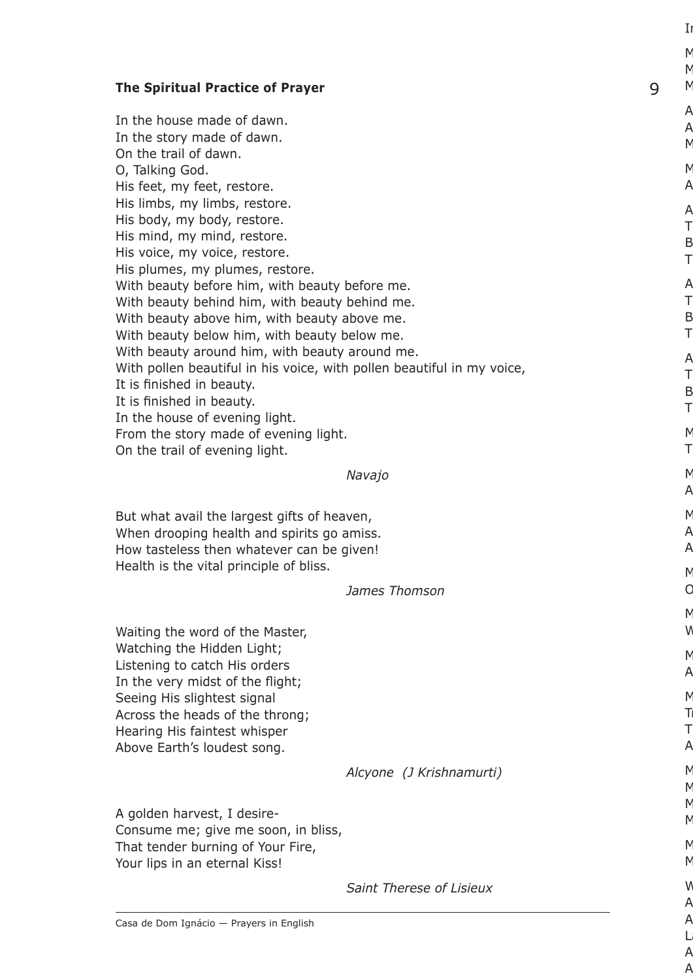| <b>The Spiritual Practice of Prayer</b>                                | 9 |
|------------------------------------------------------------------------|---|
| In the house made of dawn.                                             |   |
| In the story made of dawn.                                             |   |
| On the trail of dawn.                                                  |   |
| O, Talking God.                                                        |   |
| His feet, my feet, restore.                                            |   |
| His limbs, my limbs, restore.                                          |   |
| His body, my body, restore.                                            | A |
| His mind, my mind, restore.                                            | T |
| His voice, my voice, restore.                                          | B |
| His plumes, my plumes, restore.                                        | T |
| With beauty before him, with beauty before me.                         | A |
| With beauty behind him, with beauty behind me.                         |   |
| With beauty above him, with beauty above me.                           | B |
|                                                                        |   |
| With beauty below him, with beauty below me.                           |   |
| With beauty around him, with beauty around me.                         | A |
| With pollen beautiful in his voice, with pollen beautiful in my voice, | T |
| It is finished in beauty.                                              | B |
| It is finished in beauty.                                              | T |
| In the house of evening light.                                         |   |
| From the story made of evening light.                                  |   |
| On the trail of evening light.                                         |   |
| Navajo                                                                 |   |
|                                                                        |   |
| But what avail the largest gifts of heaven,                            |   |
| When drooping health and spirits go amiss.                             |   |
| How tasteless then whatever can be given!                              |   |
| Health is the vital principle of bliss.                                |   |
| James Thomson                                                          |   |
| Waiting the word of the Master,                                        |   |
| Watching the Hidden Light;                                             |   |
| Listening to catch His orders                                          |   |
| In the very midst of the flight;                                       |   |
|                                                                        |   |
| Seeing His slightest signal                                            |   |
| Across the heads of the throng;                                        |   |
| Hearing His faintest whisper                                           |   |
| Above Earth's loudest song.                                            |   |
| Alcyone (J Krishnamurti)                                               |   |
| A golden harvest, I desire-                                            |   |
| Consume me; give me soon, in bliss,                                    |   |
|                                                                        |   |
| That tender burning of Your Fire,<br>Your lips in an eternal Kiss!     |   |
| Saint Therese of Lisieux                                               |   |
| Casa de Dom Ignácio - Prayers in English                               |   |
|                                                                        |   |

Irish Blessings

A

A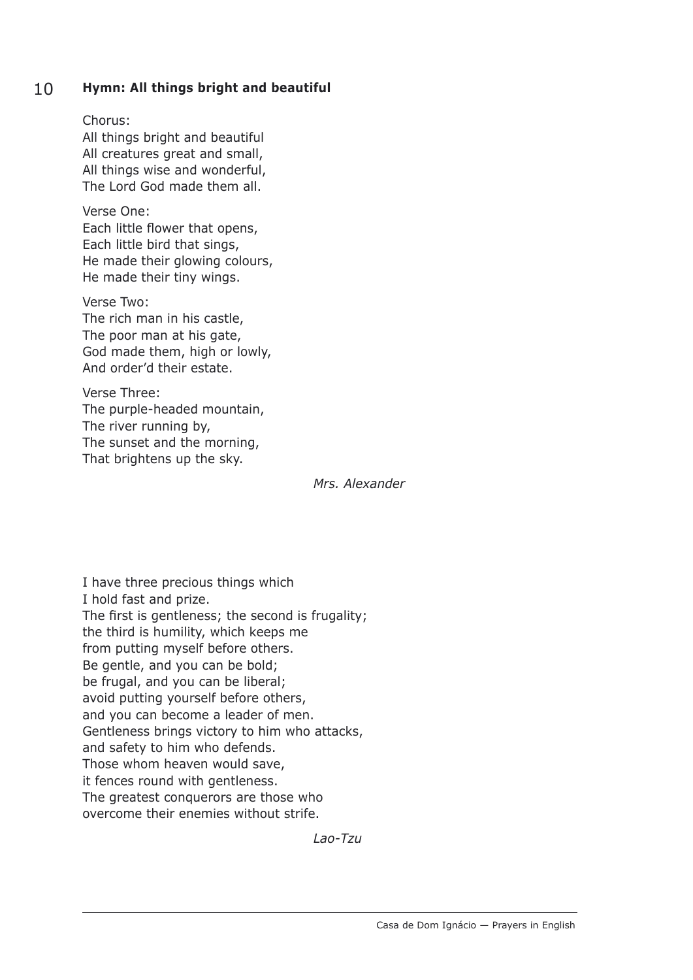# 10 **Hymn: All things bright and beautiful**

Chorus: All things bright and beautiful All creatures great and small, All things wise and wonderful, The Lord God made them all.

Verse One: Each little flower that opens, Each little bird that sings, He made their glowing colours, He made their tiny wings.

Verse Two: The rich man in his castle, The poor man at his gate, God made them, high or lowly, And order'd their estate.

Verse Three: The purple-headed mountain, The river running by, The sunset and the morning, That brightens up the sky.

*Mrs. Alexander*

I have three precious things which I hold fast and prize. The first is gentleness; the second is frugality; the third is humility, which keeps me from putting myself before others. Be gentle, and you can be bold; be frugal, and you can be liberal; avoid putting yourself before others, and you can become a leader of men. Gentleness brings victory to him who attacks, and safety to him who defends. Those whom heaven would save, it fences round with gentleness. The greatest conquerors are those who overcome their enemies without strife.

*Lao-Tzu*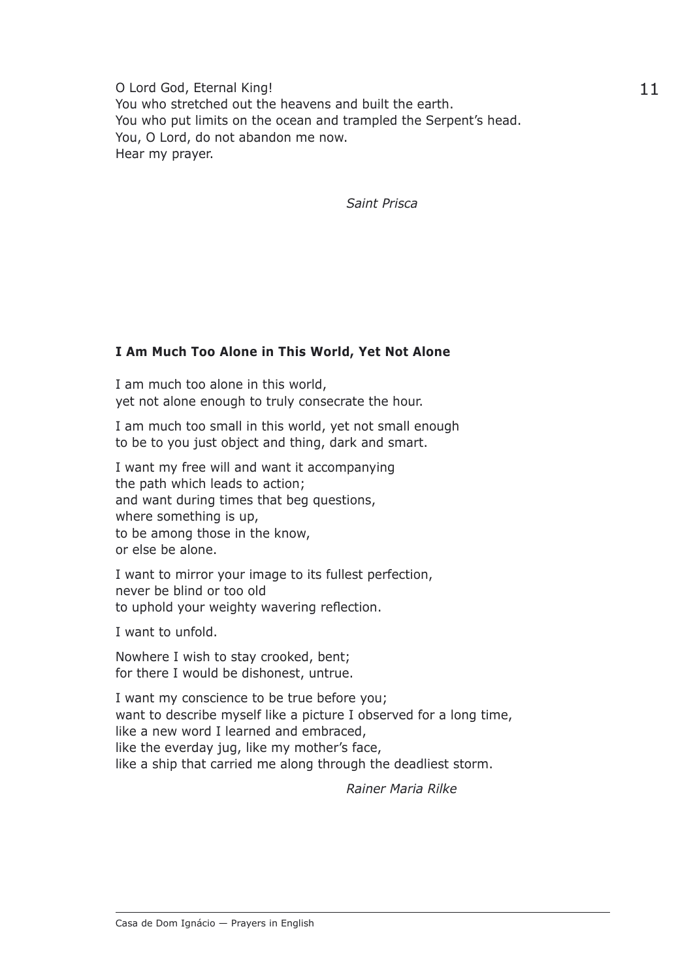O Lord God, Eternal King! 11 You who stretched out the heavens and built the earth. You who put limits on the ocean and trampled the Serpent's head. You, O Lord, do not abandon me now. Hear my prayer.

*Saint Prisca*

# **I Am Much Too Alone in This World, Yet Not Alone**

I am much too alone in this world, yet not alone enough to truly consecrate the hour.

I am much too small in this world, yet not small enough to be to you just object and thing, dark and smart.

I want my free will and want it accompanying the path which leads to action; and want during times that beg questions, where something is up, to be among those in the know, or else be alone.

I want to mirror your image to its fullest perfection, never be blind or too old to uphold your weighty wavering reflection.

I want to unfold.

Nowhere I wish to stay crooked, bent; for there I would be dishonest, untrue.

I want my conscience to be true before you; want to describe myself like a picture I observed for a long time, like a new word I learned and embraced, like the everday jug, like my mother's face, like a ship that carried me along through the deadliest storm.

*Rainer Maria Rilke*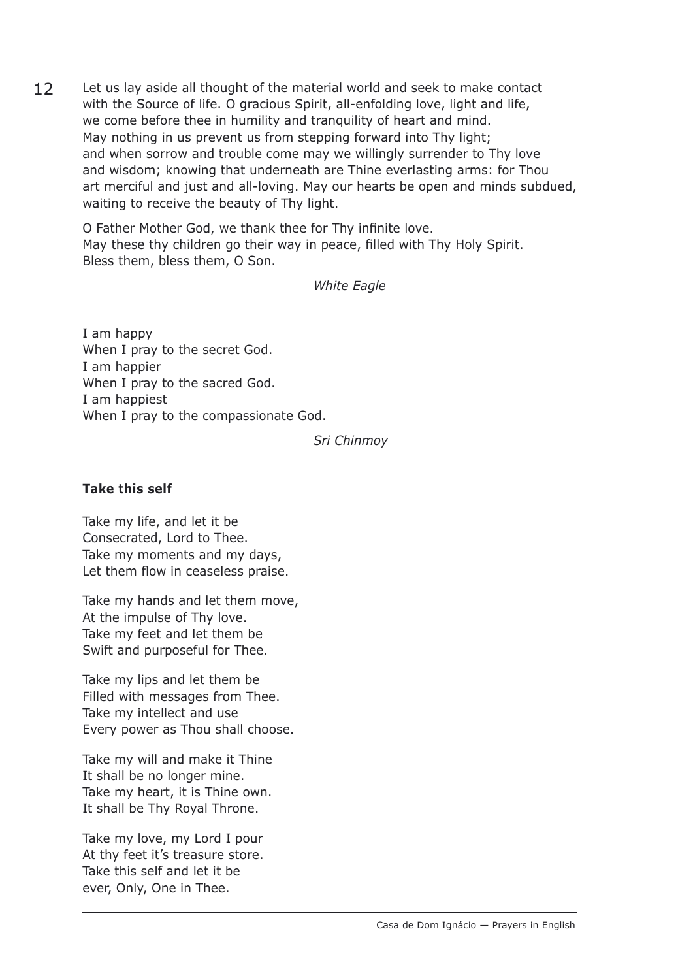12 Let us lay aside all thought of the material world and seek to make contact with the Source of life. O gracious Spirit, all-enfolding love, light and life, we come before thee in humility and tranquility of heart and mind. May nothing in us prevent us from stepping forward into Thy light; and when sorrow and trouble come may we willingly surrender to Thy love and wisdom; knowing that underneath are Thine everlasting arms: for Thou art merciful and just and all-loving. May our hearts be open and minds subdued, waiting to receive the beauty of Thy light.

O Father Mother God, we thank thee for Thy infinite love. May these thy children go their way in peace, filled with Thy Holy Spirit. Bless them, bless them, O Son.

*White Eagle*

I am happy When I pray to the secret God. I am happier When I pray to the sacred God. I am happiest When I pray to the compassionate God.

*Sri Chinmoy*

# **Take this self**

Take my life, and let it be Consecrated, Lord to Thee. Take my moments and my days, Let them flow in ceaseless praise.

Take my hands and let them move, At the impulse of Thy love. Take my feet and let them be Swift and purposeful for Thee.

Take my lips and let them be Filled with messages from Thee. Take my intellect and use Every power as Thou shall choose.

Take my will and make it Thine It shall be no longer mine. Take my heart, it is Thine own. It shall be Thy Royal Throne.

Take my love, my Lord I pour At thy feet it's treasure store. Take this self and let it be ever, Only, One in Thee.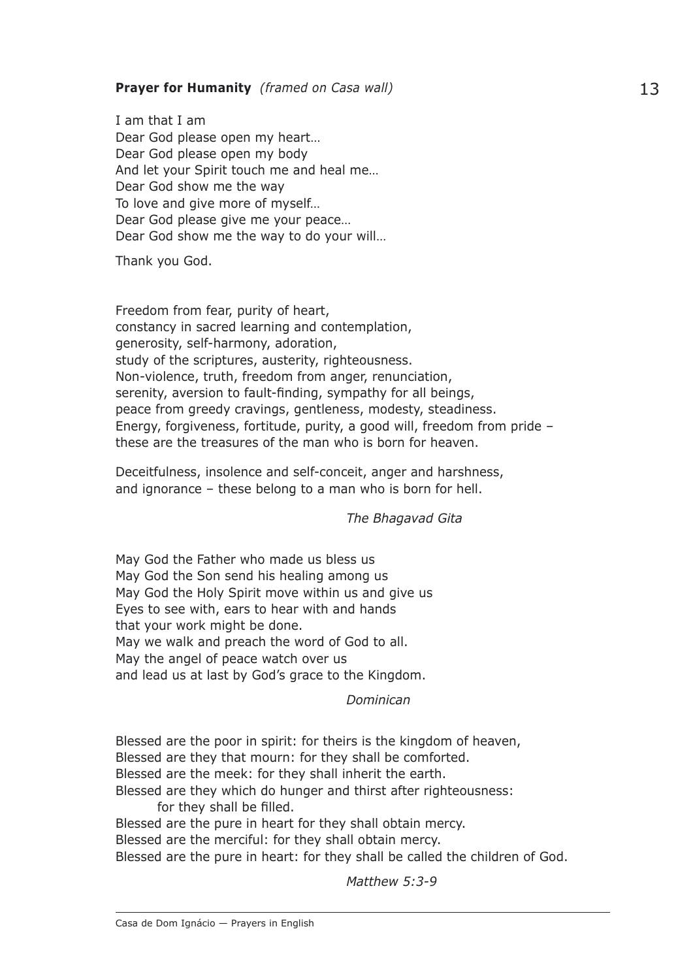### **Prayer for Humanity** *(framed on Casa wall)* 13

I am that I am Dear God please open my heart… Dear God please open my body And let your Spirit touch me and heal me… Dear God show me the way To love and give more of myself… Dear God please give me your peace… Dear God show me the way to do your will…

Thank you God.

Freedom from fear, purity of heart, constancy in sacred learning and contemplation, generosity, self-harmony, adoration, study of the scriptures, austerity, righteousness. Non-violence, truth, freedom from anger, renunciation, serenity, aversion to fault-finding, sympathy for all beings, peace from greedy cravings, gentleness, modesty, steadiness. Energy, forgiveness, fortitude, purity, a good will, freedom from pride – these are the treasures of the man who is born for heaven.

Deceitfulness, insolence and self-conceit, anger and harshness, and ignorance – these belong to a man who is born for hell.

*The Bhagavad Gita*

May God the Father who made us bless us May God the Son send his healing among us May God the Holy Spirit move within us and give us Eyes to see with, ears to hear with and hands that your work might be done. May we walk and preach the word of God to all. May the angel of peace watch over us and lead us at last by God's grace to the Kingdom.

#### *Dominican*

Blessed are the poor in spirit: for theirs is the kingdom of heaven, Blessed are they that mourn: for they shall be comforted. Blessed are the meek: for they shall inherit the earth. Blessed are they which do hunger and thirst after righteousness: for they shall be filled. Blessed are the pure in heart for they shall obtain mercy. Blessed are the merciful: for they shall obtain mercy.

Blessed are the pure in heart: for they shall be called the children of God.

*Matthew 5:3-9*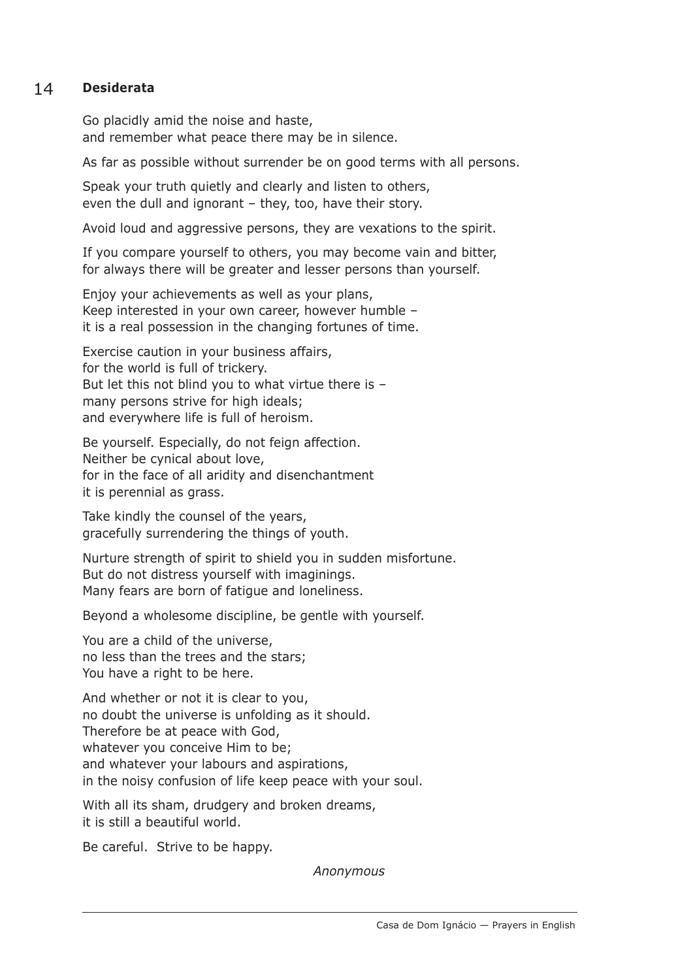# 14 **Desiderata**

Go placidly amid the noise and haste, and remember what peace there may be in silence.

As far as possible without surrender be on good terms with all persons.

Speak your truth quietly and clearly and listen to others, even the dull and ignorant – they, too, have their story.

Avoid loud and aggressive persons, they are vexations to the spirit.

If you compare yourself to others, you may become vain and bitter, for always there will be greater and lesser persons than yourself.

Enjoy your achievements as well as your plans, Keep interested in your own career, however humble – it is a real possession in the changing fortunes of time.

Exercise caution in your business affairs, for the world is full of trickery. But let this not blind you to what virtue there is – many persons strive for high ideals; and everywhere life is full of heroism.

Be yourself. Especially, do not feign affection. Neither be cynical about love, for in the face of all aridity and disenchantment it is perennial as grass.

Take kindly the counsel of the years, gracefully surrendering the things of youth.

Nurture strength of spirit to shield you in sudden misfortune. But do not distress yourself with imaginings. Many fears are born of fatigue and loneliness.

Beyond a wholesome discipline, be gentle with yourself.

You are a child of the universe, no less than the trees and the stars; You have a right to be here.

And whether or not it is clear to you, no doubt the universe is unfolding as it should. Therefore be at peace with God, whatever you conceive Him to be; and whatever your labours and aspirations, in the noisy confusion of life keep peace with your soul.

With all its sham, drudgery and broken dreams, it is still a beautiful world.

Be careful. Strive to be happy.

*Anonymous*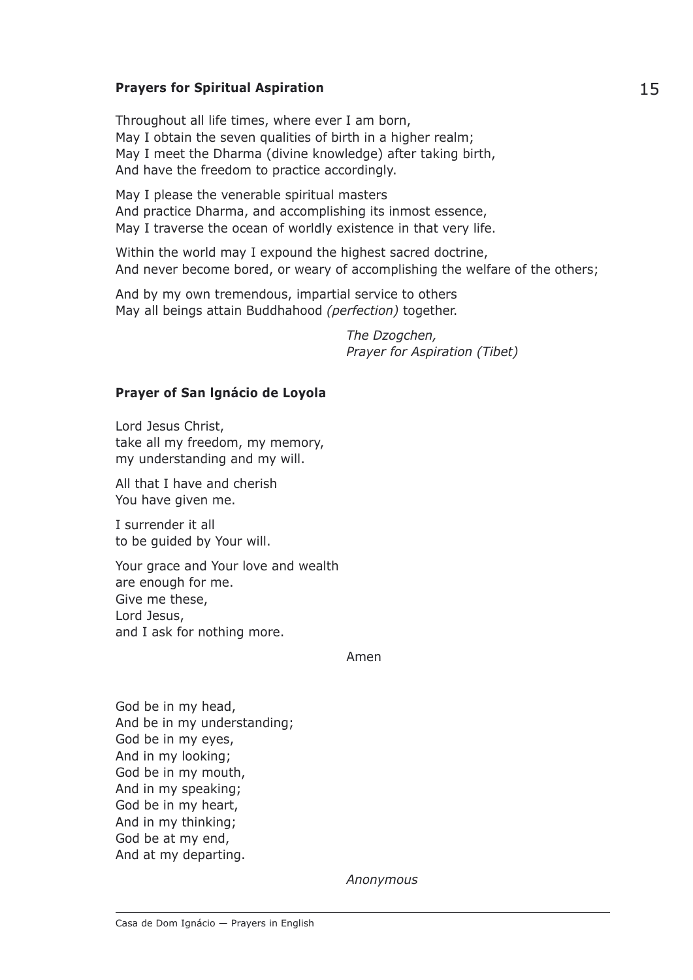#### **Prayers for Spiritual Aspiration** 15

Throughout all life times, where ever I am born, May I obtain the seven qualities of birth in a higher realm; May I meet the Dharma (divine knowledge) after taking birth, And have the freedom to practice accordingly.

May I please the venerable spiritual masters And practice Dharma, and accomplishing its inmost essence, May I traverse the ocean of worldly existence in that very life.

Within the world may I expound the highest sacred doctrine, And never become bored, or weary of accomplishing the welfare of the others;

And by my own tremendous, impartial service to others May all beings attain Buddhahood *(perfection)* together.

> *The Dzogchen, Prayer for Aspiration (Tibet)*

### **Prayer of San lgnácio de Loyola**

Lord Jesus Christ, take all my freedom, my memory, my understanding and my will.

All that I have and cherish You have given me.

I surrender it all to be guided by Your will.

Your grace and Your love and wealth are enough for me. Give me these, Lord Jesus, and I ask for nothing more.

Amen

God be in my head, And be in my understanding; God be in my eyes, And in my looking; God be in my mouth, And in my speaking; God be in my heart, And in my thinking; God be at my end, And at my departing.

*Anonymous*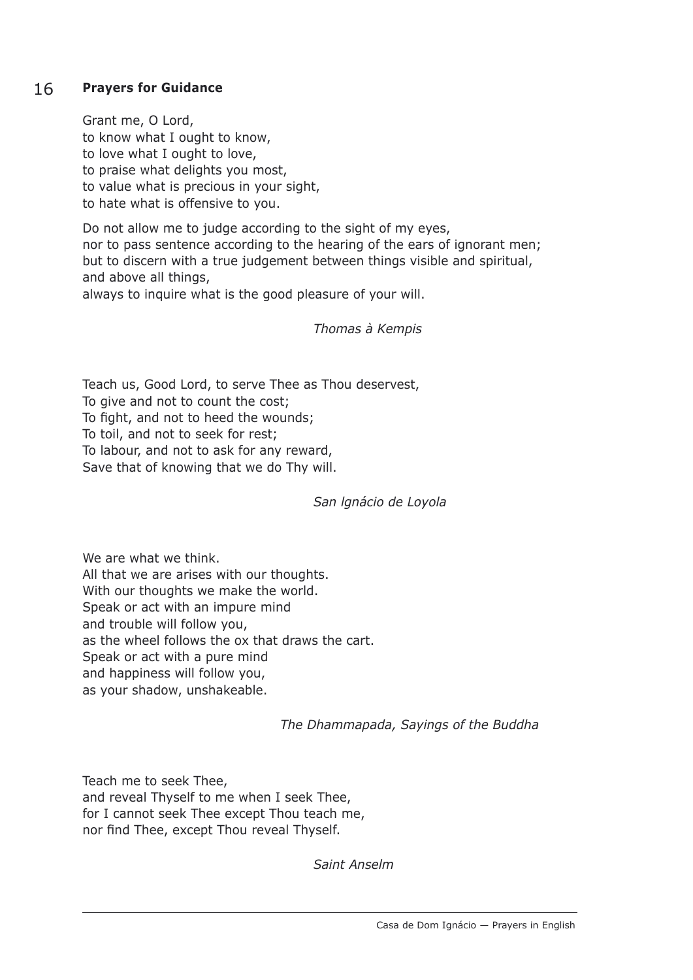# 16 **Prayers for Guidance**

Grant me, O Lord, to know what I ought to know, to love what I ought to love, to praise what delights you most, to value what is precious in your sight, to hate what is offensive to you.

Do not allow me to judge according to the sight of my eyes, nor to pass sentence according to the hearing of the ears of ignorant men; but to discern with a true judgement between things visible and spiritual, and above all things,

always to inquire what is the good pleasure of your will.

*Thomas à Kempis*

Teach us, Good Lord, to serve Thee as Thou deservest, To give and not to count the cost; To fight, and not to heed the wounds; To toil, and not to seek for rest; To labour, and not to ask for any reward, Save that of knowing that we do Thy will.

*San lgnácio de Loyola*

We are what we think. All that we are arises with our thoughts. With our thoughts we make the world. Speak or act with an impure mind and trouble will follow you, as the wheel follows the ox that draws the cart. Speak or act with a pure mind and happiness will follow you, as your shadow, unshakeable.

*The Dhammapada, Sayings of the Buddha*

Teach me to seek Thee, and reveal Thyself to me when I seek Thee, for I cannot seek Thee except Thou teach me, nor find Thee, except Thou reveal Thyself.

*Saint Anselm*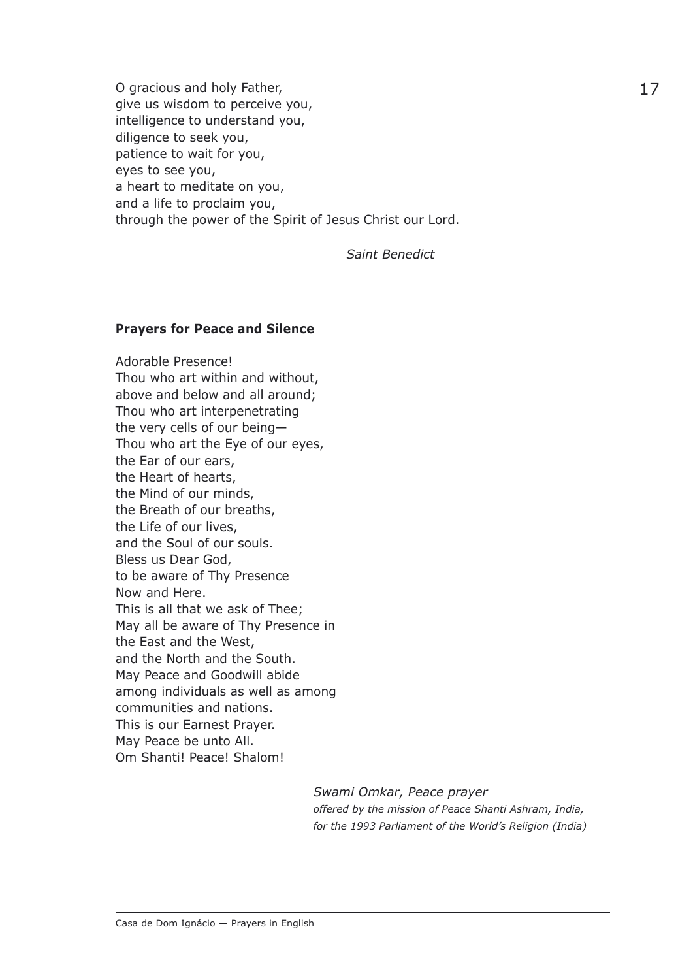O gracious and holy Father, 17 give us wisdom to perceive you, intelligence to understand you, diligence to seek you, patience to wait for you, eyes to see you, a heart to meditate on you, and a life to proclaim you, through the power of the Spirit of Jesus Christ our Lord.

*Saint Benedict*

#### **Prayers for Peace and Silence**

Adorable Presence! Thou who art within and without, above and below and all around; Thou who art interpenetrating the very cells of our being— Thou who art the Eye of our eyes, the Ear of our ears, the Heart of hearts, the Mind of our minds, the Breath of our breaths, the Life of our lives, and the Soul of our souls. Bless us Dear God, to be aware of Thy Presence Now and Here. This is all that we ask of Thee; May all be aware of Thy Presence in the East and the West, and the North and the South. May Peace and Goodwill abide among individuals as well as among communities and nations. This is our Earnest Prayer. May Peace be unto All. Om Shanti! Peace! Shalom!

> *Swami Omkar, Peace prayer offered by the mission of Peace Shanti Ashram, India, for the 1993 Parliament of the World's Religion (India)*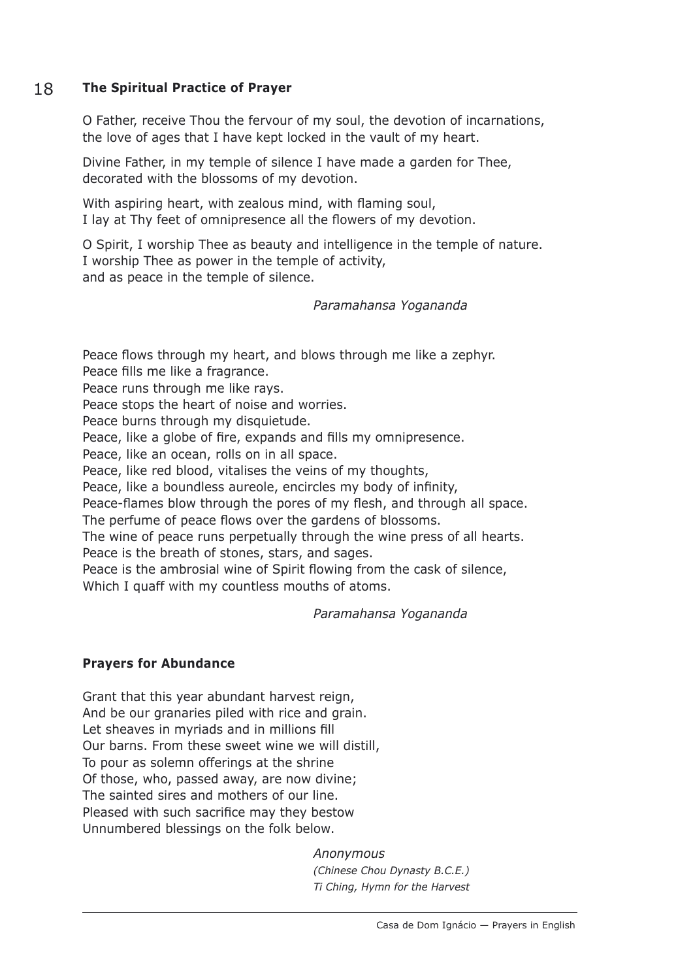# 18 **The Spiritual Practice of Prayer**

O Father, receive Thou the fervour of my soul, the devotion of incarnations, the love of ages that I have kept locked in the vault of my heart.

Divine Father, in my temple of silence I have made a garden for Thee, decorated with the blossoms of my devotion.

With aspiring heart, with zealous mind, with flaming soul, I lay at Thy feet of omnipresence all the flowers of my devotion.

O Spirit, I worship Thee as beauty and intelligence in the temple of nature. I worship Thee as power in the temple of activity, and as peace in the temple of silence.

*Paramahansa Yogananda*

Peace flows through my heart, and blows through me like a zephyr.

Peace fills me like a fragrance.

Peace runs through me like rays.

Peace stops the heart of noise and worries.

Peace burns through my disquietude.

Peace, like a globe of fire, expands and fills my omnipresence.

Peace, like an ocean, rolls on in all space.

Peace, like red blood, vitalises the veins of my thoughts,

Peace, like a boundless aureole, encircles my body of infinity,

Peace-flames blow through the pores of my flesh, and through all space.

The perfume of peace flows over the gardens of blossoms.

The wine of peace runs perpetually through the wine press of all hearts. Peace is the breath of stones, stars, and sages.

Peace is the ambrosial wine of Spirit flowing from the cask of silence, Which I quaff with my countless mouths of atoms.

*Paramahansa Yogananda*

### **Prayers for Abundance**

Grant that this year abundant harvest reign, And be our granaries piled with rice and grain. Let sheaves in myriads and in millions fill Our barns. From these sweet wine we will distill, To pour as solemn offerings at the shrine Of those, who, passed away, are now divine; The sainted sires and mothers of our line. Pleased with such sacrifice may they bestow Unnumbered blessings on the folk below.

> *Anonymous (Chinese Chou Dynasty B.C.E.) Ti Ching, Hymn for the Harvest*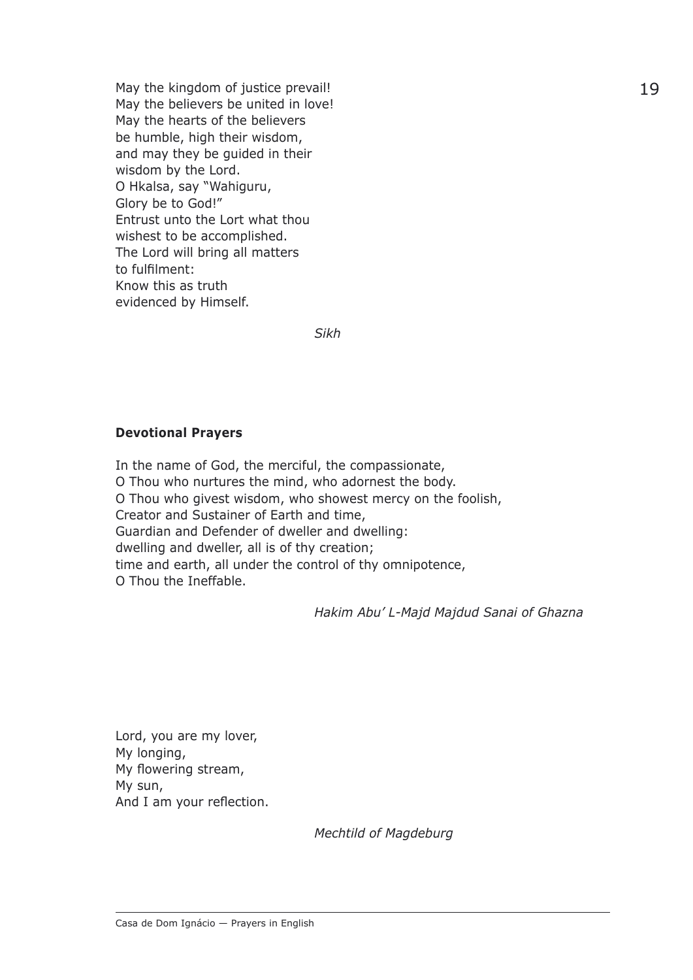May the kingdom of justice prevail! May the believers be united in love! May the hearts of the believers be humble, high their wisdom, and may they be guided in their wisdom by the Lord. O Hkalsa, say "Wahiguru, Glory be to God!" Entrust unto the Lort what thou wishest to be accomplished. The Lord will bring all matters to fulfilment: Know this as truth evidenced by Himself.

*Sikh*

#### **Devotional Prayers**

In the name of God, the merciful, the compassionate, O Thou who nurtures the mind, who adornest the body. O Thou who givest wisdom, who showest mercy on the foolish, Creator and Sustainer of Earth and time, Guardian and Defender of dweller and dwelling: dwelling and dweller, all is of thy creation; time and earth, all under the control of thy omnipotence, O Thou the Ineffable.

*Hakim Abu' L-Majd Majdud Sanai of Ghazna*

Lord, you are my lover, My longing, My flowering stream, My sun, And I am your reflection.

*Mechtild of Magdeburg*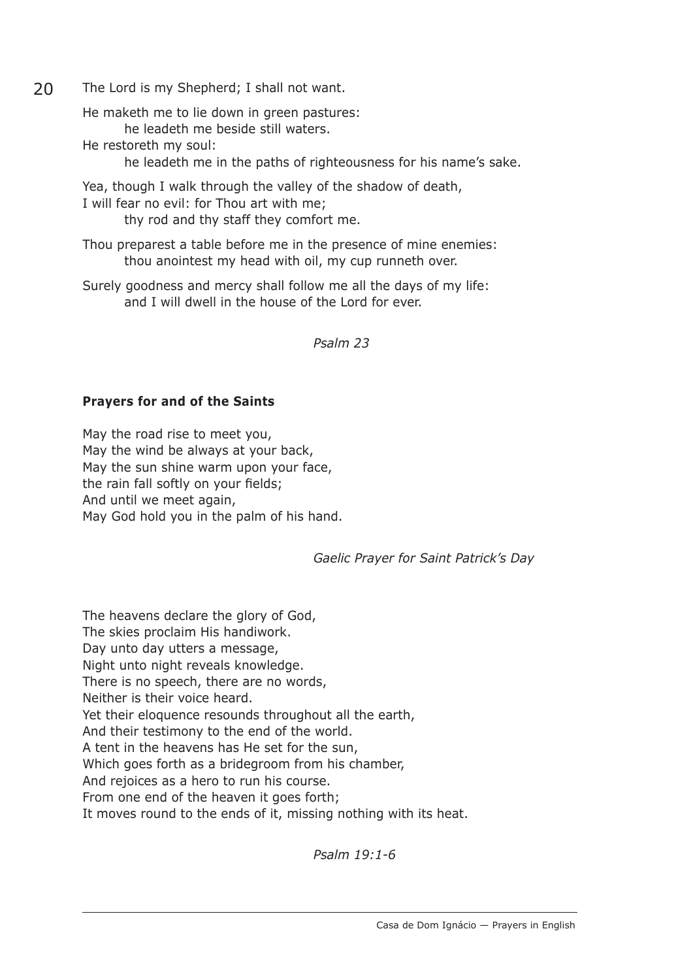20 The Lord is my Shepherd; I shall not want.

He maketh me to lie down in green pastures: he leadeth me beside still waters.

He restoreth my soul:

he leadeth me in the paths of righteousness for his name's sake.

Yea, though I walk through the valley of the shadow of death, I will fear no evil: for Thou art with me; thy rod and thy staff they comfort me.

- Thou preparest a table before me in the presence of mine enemies: thou anointest my head with oil, my cup runneth over.
- Surely goodness and mercy shall follow me all the days of my life: and I will dwell in the house of the Lord for ever.

#### *Psalm 23*

### **Prayers for and of the Saints**

May the road rise to meet you, May the wind be always at your back, May the sun shine warm upon your face, the rain fall softly on your fields; And until we meet again, May God hold you in the palm of his hand.

*Gaelic Prayer for Saint Patrick's Day*

The heavens declare the glory of God, The skies proclaim His handiwork. Day unto day utters a message, Night unto night reveals knowledge. There is no speech, there are no words, Neither is their voice heard. Yet their eloquence resounds throughout all the earth, And their testimony to the end of the world. A tent in the heavens has He set for the sun, Which goes forth as a bridegroom from his chamber, And rejoices as a hero to run his course. From one end of the heaven it goes forth; It moves round to the ends of it, missing nothing with its heat.

*Psalm 19:1-6*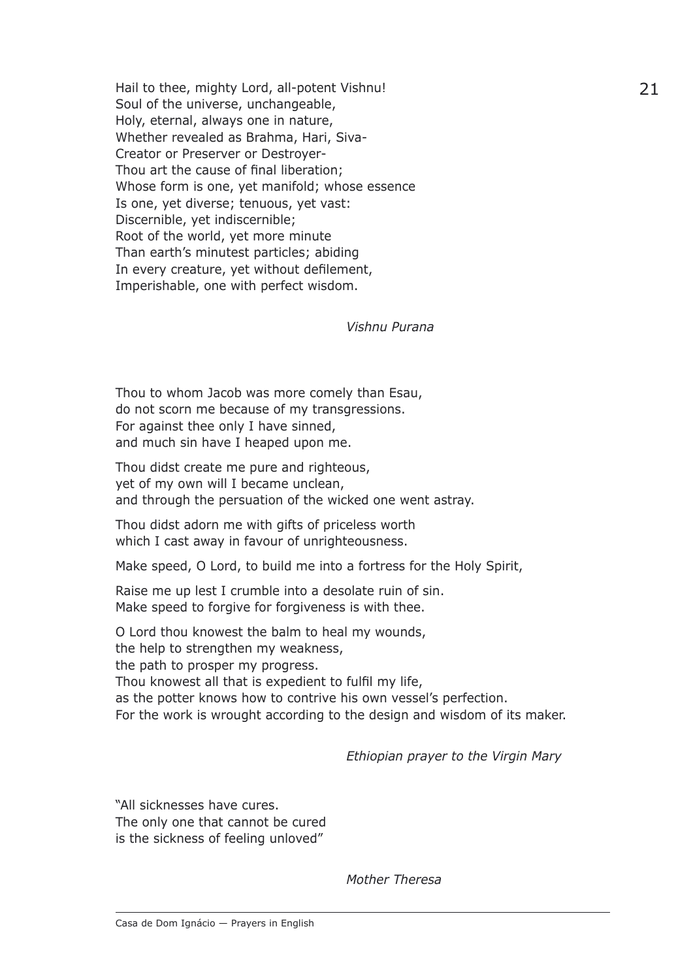Hail to thee, mighty Lord, all-potent Vishnu! 21 Soul of the universe, unchangeable, Holy, eternal, always one in nature, Whether revealed as Brahma, Hari, Siva-Creator or Preserver or Destroyer-Thou art the cause of final liberation; Whose form is one, yet manifold; whose essence Is one, yet diverse; tenuous, yet vast: Discernible, yet indiscernible; Root of the world, yet more minute Than earth's minutest particles; abiding In every creature, yet without defilement, Imperishable, one with perfect wisdom.

*Vishnu Purana*

Thou to whom Jacob was more comely than Esau, do not scorn me because of my transgressions. For against thee only I have sinned, and much sin have I heaped upon me.

Thou didst create me pure and righteous, yet of my own will I became unclean, and through the persuation of the wicked one went astray.

Thou didst adorn me with gifts of priceless worth which I cast away in favour of unrighteousness.

Make speed, O Lord, to build me into a fortress for the Holy Spirit,

Raise me up lest I crumble into a desolate ruin of sin. Make speed to forgive for forgiveness is with thee.

O Lord thou knowest the balm to heal my wounds, the help to strengthen my weakness,

the path to prosper my progress.

Thou knowest all that is expedient to fulfil my life,

as the potter knows how to contrive his own vessel's perfection.

For the work is wrought according to the design and wisdom of its maker.

*Ethiopian prayer to the Virgin Mary*

"All sicknesses have cures. The only one that cannot be cured is the sickness of feeling unloved"

*Mother Theresa*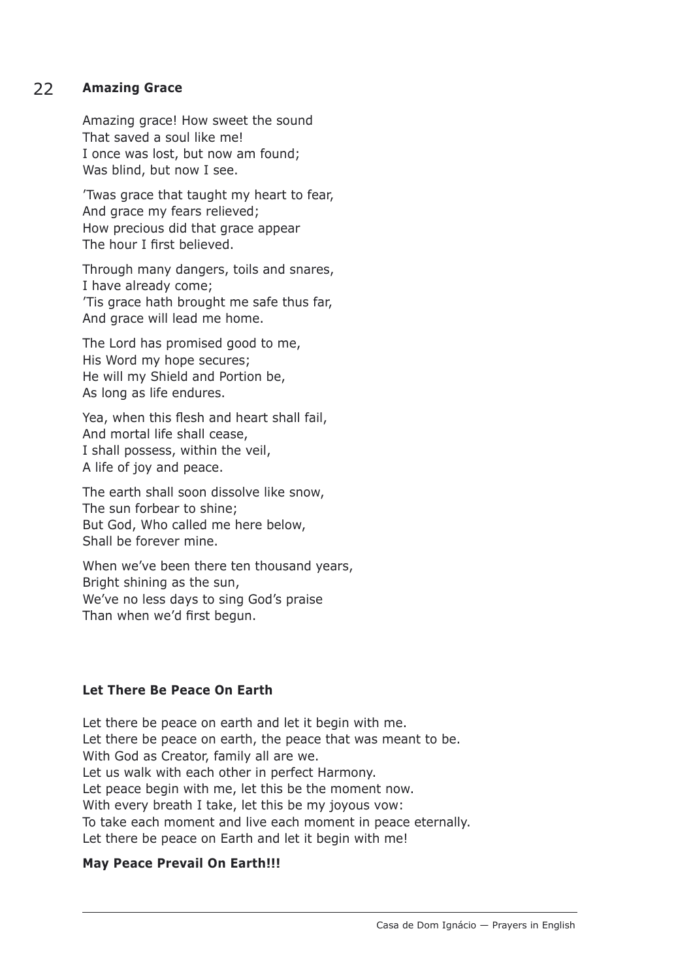# 22 **Amazing Grace**

Amazing grace! How sweet the sound That saved a soul like me! I once was lost, but now am found; Was blind, but now I see.

'Twas grace that taught my heart to fear, And grace my fears relieved; How precious did that grace appear The hour I first believed.

Through many dangers, toils and snares, I have already come; 'Tis grace hath brought me safe thus far, And grace will lead me home.

The Lord has promised good to me, His Word my hope secures; He will my Shield and Portion be, As long as life endures.

Yea, when this flesh and heart shall fail, And mortal life shall cease, I shall possess, within the veil, A life of joy and peace.

The earth shall soon dissolve like snow, The sun forbear to shine; But God, Who called me here below, Shall be forever mine.

When we've been there ten thousand years, Bright shining as the sun, We've no less days to sing God's praise Than when we'd first begun.

### **Let There Be Peace On Earth**

Let there be peace on earth and let it begin with me. Let there be peace on earth, the peace that was meant to be. With God as Creator, family all are we. Let us walk with each other in perfect Harmony. Let peace begin with me, let this be the moment now. With every breath I take, let this be my joyous vow: To take each moment and live each moment in peace eternally. Let there be peace on Earth and let it begin with me!

### **May Peace Prevail On Earth!!!**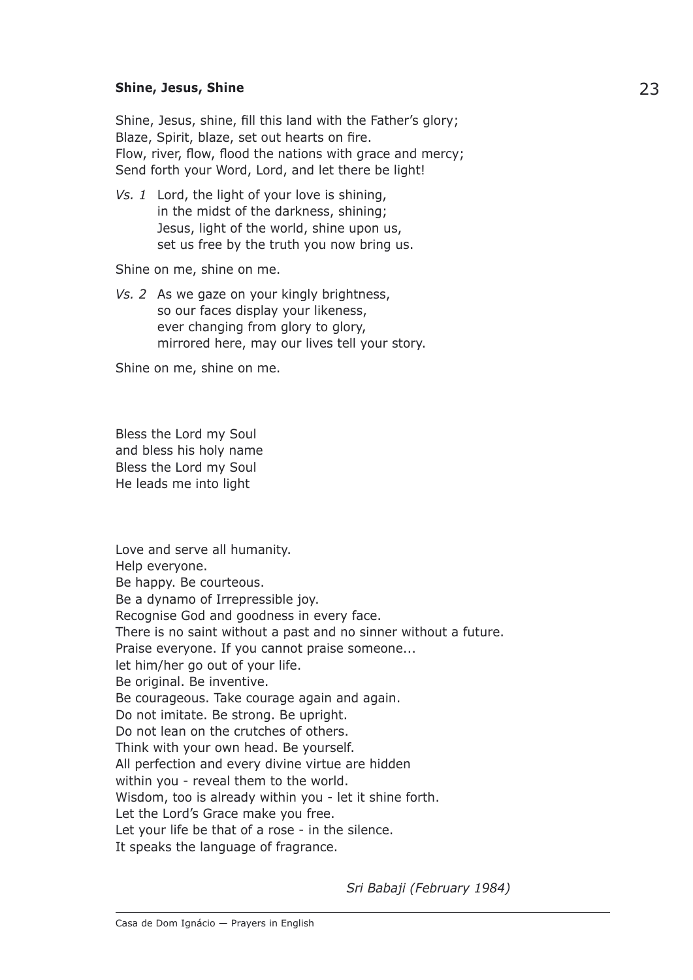#### **Shine, Jesus, Shine** 23

Shine, Jesus, shine, fill this land with the Father's glory; Blaze, Spirit, blaze, set out hearts on fire. Flow, river, flow, flood the nations with grace and mercy; Send forth your Word, Lord, and let there be light!

*Vs. 1* Lord, the light of your love is shining, in the midst of the darkness, shining; Jesus, light of the world, shine upon us, set us free by the truth you now bring us.

Shine on me, shine on me.

*Vs. 2* As we gaze on your kingly brightness, so our faces display your likeness, ever changing from glory to glory, mirrored here, may our lives tell your story.

Shine on me, shine on me.

Bless the Lord my Soul and bless his holy name Bless the Lord my Soul He leads me into light

Love and serve all humanity. Help everyone. Be happy. Be courteous. Be a dynamo of Irrepressible joy. Recognise God and goodness in every face. There is no saint without a past and no sinner without a future. Praise everyone. If you cannot praise someone... let him/her go out of your life. Be original. Be inventive. Be courageous. Take courage again and again. Do not imitate. Be strong. Be upright. Do not lean on the crutches of others. Think with your own head. Be yourself. All perfection and every divine virtue are hidden within you - reveal them to the world. Wisdom, too is already within you - let it shine forth. Let the Lord's Grace make you free. Let your life be that of a rose - in the silence. It speaks the language of fragrance.

*Sri Babaji (February 1984)*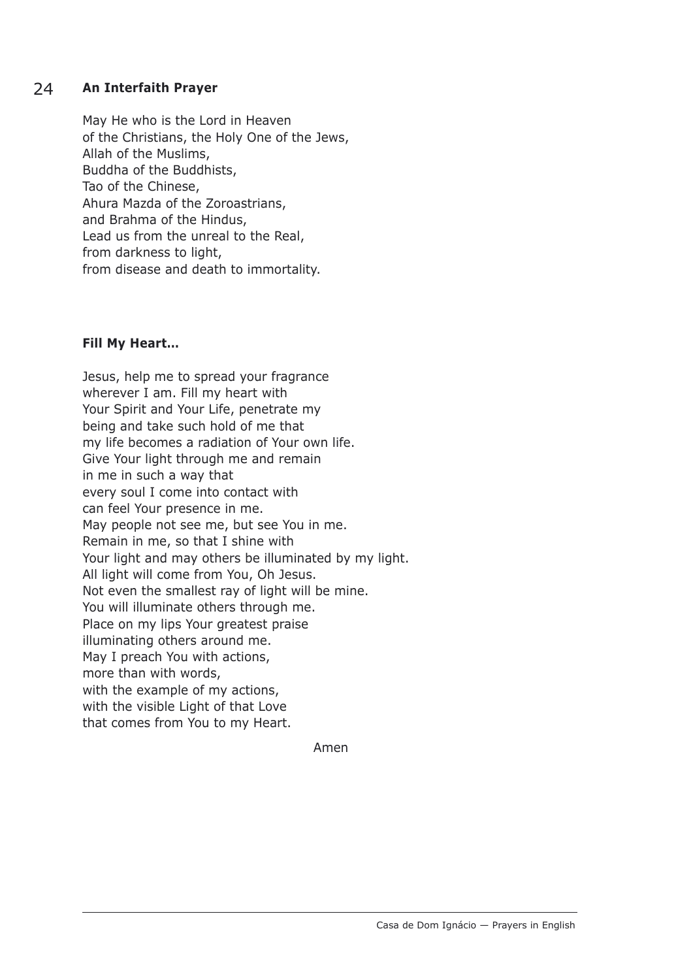### 24 **An Interfaith Prayer**

May He who is the Lord in Heaven of the Christians, the Holy One of the Jews, Allah of the Muslims, Buddha of the Buddhists, Tao of the Chinese, Ahura Mazda of the Zoroastrians, and Brahma of the Hindus, Lead us from the unreal to the Real, from darkness to light, from disease and death to immortality.

### **Fill My Heart…**

Jesus, help me to spread your fragrance wherever I am. Fill my heart with Your Spirit and Your Life, penetrate my being and take such hold of me that my life becomes a radiation of Your own life. Give Your light through me and remain in me in such a way that every soul I come into contact with can feel Your presence in me. May people not see me, but see You in me. Remain in me, so that I shine with Your light and may others be illuminated by my light. All light will come from You, Oh Jesus. Not even the smallest ray of light will be mine. You will illuminate others through me. Place on my lips Your greatest praise illuminating others around me. May I preach You with actions, more than with words, with the example of my actions, with the visible Light of that Love that comes from You to my Heart.

Amen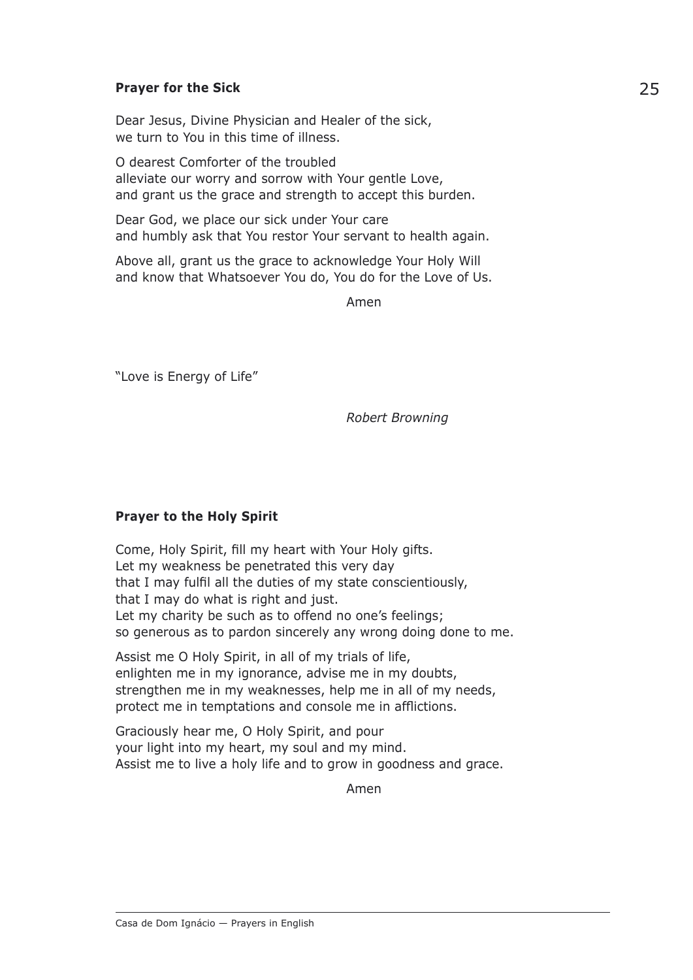#### **Prayer for the Sick** 25

Dear Jesus, Divine Physician and Healer of the sick, we turn to You in this time of illness.

O dearest Comforter of the troubled alleviate our worry and sorrow with Your gentle Love, and grant us the grace and strength to accept this burden.

Dear God, we place our sick under Your care and humbly ask that You restor Your servant to health again.

Above all, grant us the grace to acknowledge Your Holy Will and know that Whatsoever You do, You do for the Love of Us.

Amen

"Love is Energy of Life"

*Robert Browning*

### **Prayer to the Holy Spirit**

Come, Holy Spirit, fill my heart with Your Holy gifts. Let my weakness be penetrated this very day that I may fulfil all the duties of my state conscientiously, that I may do what is right and just. Let my charity be such as to offend no one's feelings; so generous as to pardon sincerely any wrong doing done to me.

Assist me O Holy Spirit, in all of my trials of life, enlighten me in my ignorance, advise me in my doubts, strengthen me in my weaknesses, help me in all of my needs, protect me in temptations and console me in afflictions.

Graciously hear me, O Holy Spirit, and pour your light into my heart, my soul and my mind. Assist me to live a holy life and to grow in goodness and grace.

Amen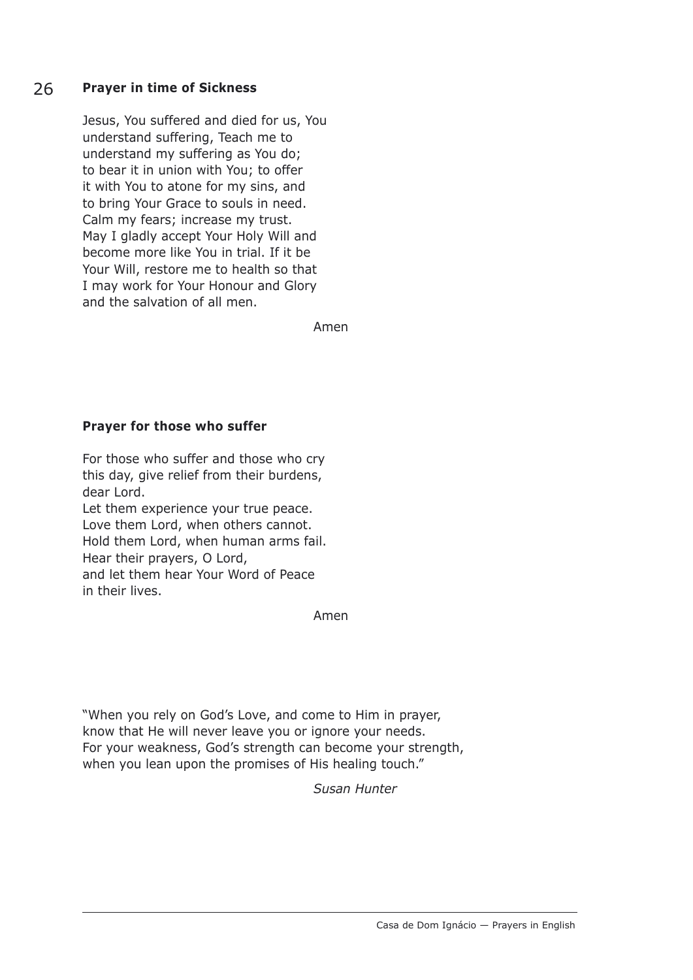### 26 **Prayer in time of Sickness**

Jesus, You suffered and died for us, You understand suffering, Teach me to understand my suffering as You do; to bear it in union with You; to offer it with You to atone for my sins, and to bring Your Grace to souls in need. Calm my fears; increase my trust. May I gladly accept Your Holy Will and become more like You in trial. If it be Your Will, restore me to health so that I may work for Your Honour and Glory and the salvation of all men.

Amen

# **Prayer for those who suffer**

For those who suffer and those who cry this day, give relief from their burdens, dear Lord. Let them experience your true peace. Love them Lord, when others cannot. Hold them Lord, when human arms fail. Hear their prayers, O Lord, and let them hear Your Word of Peace in their lives.

Amen

"When you rely on God's Love, and come to Him in prayer, know that He will never leave you or ignore your needs. For your weakness, God's strength can become your strength, when you lean upon the promises of His healing touch."

*Susan Hunter*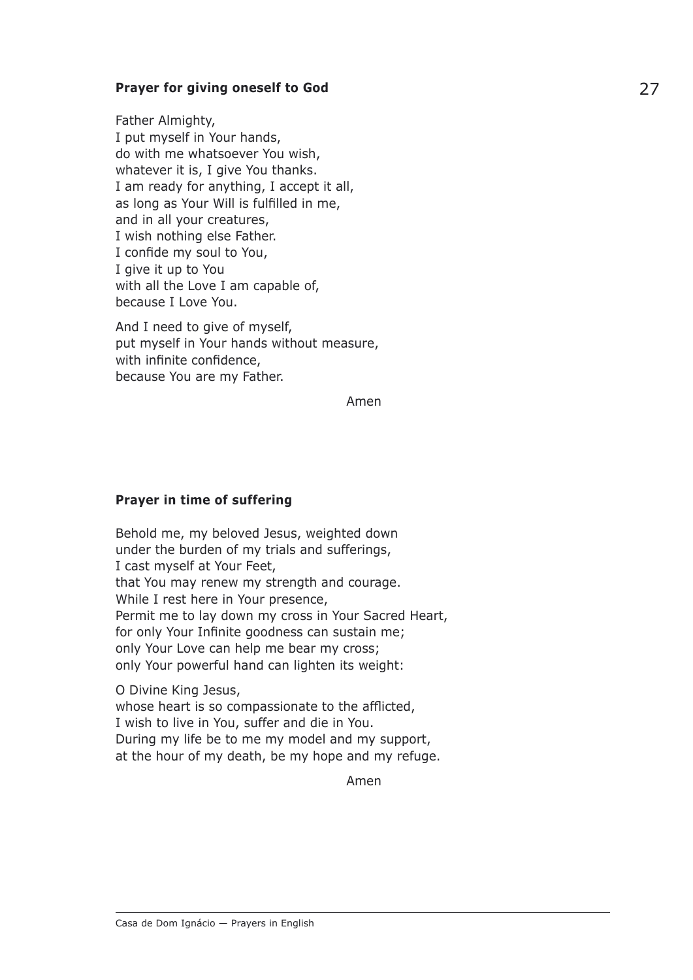#### **Prayer for giving oneself to God** 27

Father Almighty, I put myself in Your hands, do with me whatsoever You wish, whatever it is, I give You thanks. I am ready for anything, I accept it all, as long as Your Will is fulfilled in me, and in all your creatures, I wish nothing else Father. I confide my soul to You, I give it up to You with all the Love I am capable of, because I Love You.

And I need to give of myself, put myself in Your hands without measure, with infinite confidence, because You are my Father.

Amen

### **Prayer in time of suffering**

Behold me, my beloved Jesus, weighted down under the burden of my trials and sufferings, I cast myself at Your Feet, that You may renew my strength and courage. While I rest here in Your presence, Permit me to lay down my cross in Your Sacred Heart, for only Your Infinite goodness can sustain me; only Your Love can help me bear my cross; only Your powerful hand can lighten its weight:

O Divine King Jesus,

whose heart is so compassionate to the afflicted, I wish to live in You, suffer and die in You. During my life be to me my model and my support, at the hour of my death, be my hope and my refuge.

Amen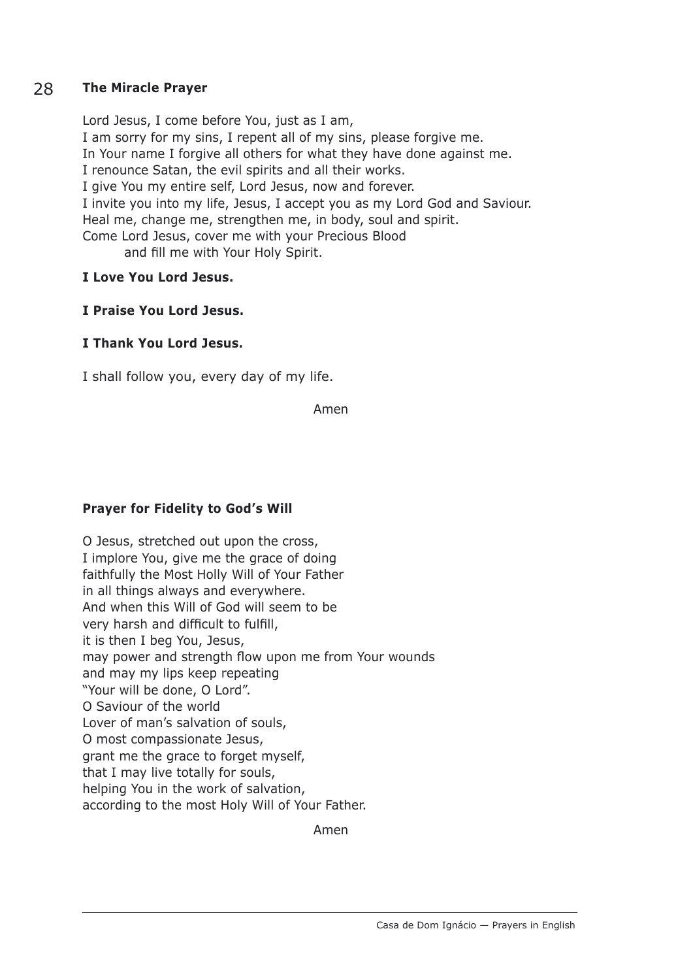# 28 **The Miracle Prayer**

Lord Jesus, I come before You, just as I am, I am sorry for my sins, I repent all of my sins, please forgive me. In Your name I forgive all others for what they have done against me. I renounce Satan, the evil spirits and all their works. I give You my entire self, Lord Jesus, now and forever. I invite you into my life, Jesus, I accept you as my Lord God and Saviour. Heal me, change me, strengthen me, in body, soul and spirit. Come Lord Jesus, cover me with your Precious Blood and fill me with Your Holy Spirit.

### **I Love You Lord Jesus.**

# **I Praise You Lord Jesus.**

# **I Thank You Lord Jesus.**

I shall follow you, every day of my life.

Amen

### **Prayer for Fidelity to God's Will**

O Jesus, stretched out upon the cross, I implore You, give me the grace of doing faithfully the Most Holly Will of Your Father in all things always and everywhere. And when this Will of God will seem to be very harsh and difficult to fulfill, it is then I beg You, Jesus, may power and strength flow upon me from Your wounds and may my lips keep repeating "Your will be done, O Lord". O Saviour of the world Lover of man's salvation of souls, O most compassionate Jesus, grant me the grace to forget myself, that I may live totally for souls, helping You in the work of salvation, according to the most Holy Will of Your Father.

Amen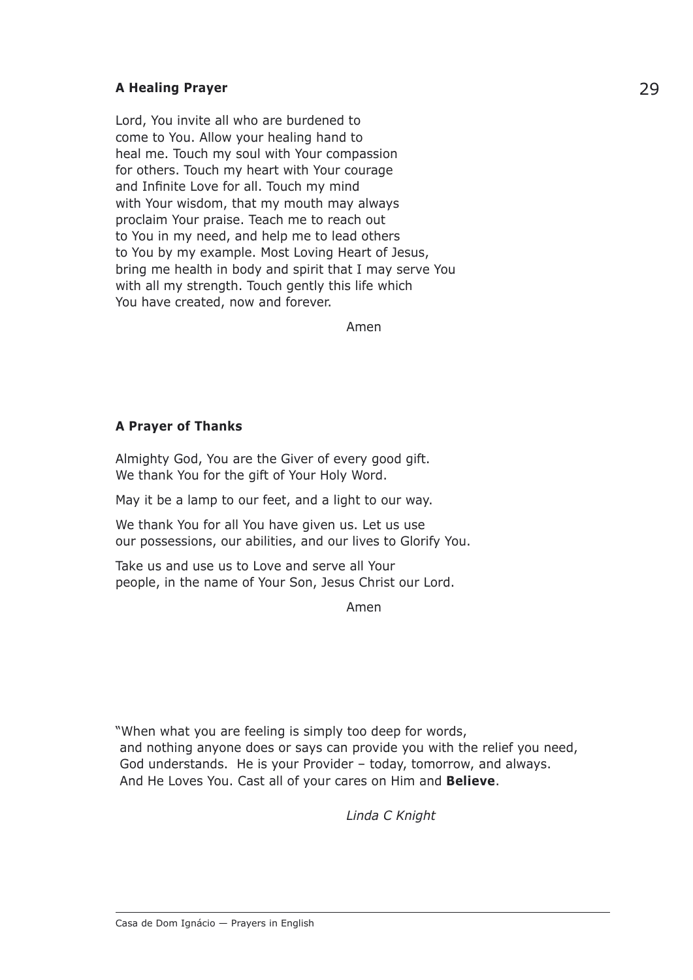### **A Healing Prayer** 29

Lord, You invite all who are burdened to come to You. Allow your healing hand to heal me. Touch my soul with Your compassion for others. Touch my heart with Your courage and Infinite Love for all. Touch my mind with Your wisdom, that my mouth may always proclaim Your praise. Teach me to reach out to You in my need, and help me to lead others to You by my example. Most Loving Heart of Jesus, bring me health in body and spirit that I may serve You with all my strength. Touch gently this life which You have created, now and forever.

Amen

### **A Prayer of Thanks**

Almighty God, You are the Giver of every good gift. We thank You for the gift of Your Holy Word.

May it be a lamp to our feet, and a light to our way.

We thank You for all You have given us. Let us use our possessions, our abilities, and our lives to Glorify You.

Take us and use us to Love and serve all Your people, in the name of Your Son, Jesus Christ our Lord.

Amen

"When what you are feeling is simply too deep for words, and nothing anyone does or says can provide you with the relief you need, God understands. He is your Provider – today, tomorrow, and always. And He Loves You. Cast all of your cares on Him and **Believe**.

*Linda C Knight*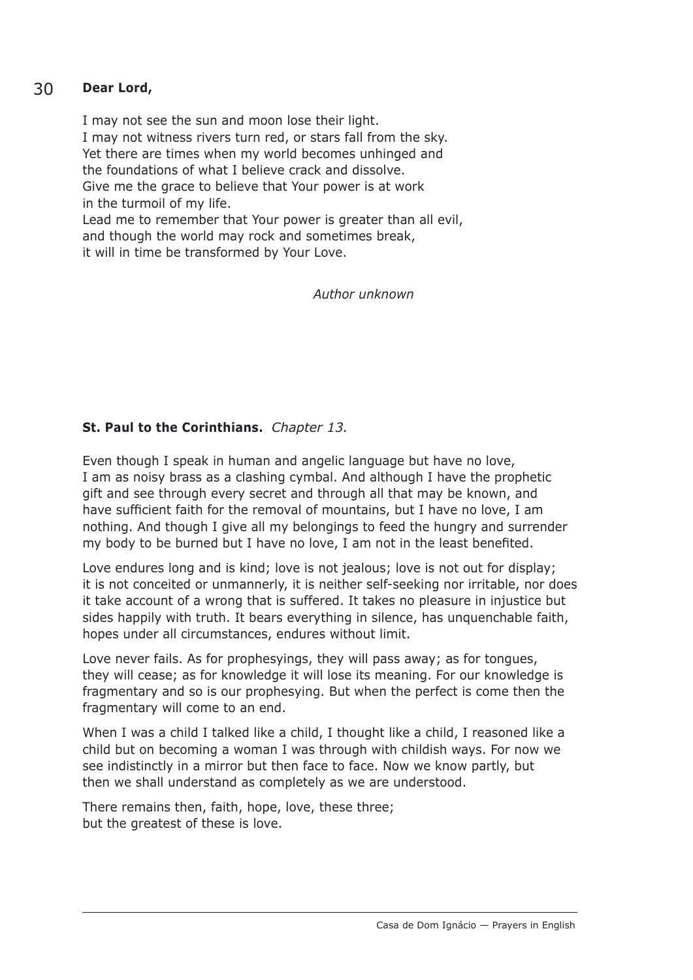# 30 **Dear Lord,**

I may not see the sun and moon lose their light. I may not witness rivers turn red, or stars fall from the sky. Yet there are times when my world becomes unhinged and the foundations of what I believe crack and dissolve. Give me the grace to believe that Your power is at work in the turmoil of my life.

Lead me to remember that Your power is greater than all evil, and though the world may rock and sometimes break, it will in time be transformed by Your Love.

*Author unknown*

# **St. Paul to the Corinthians.** *Chapter 13.*

Even though I speak in human and angelic language but have no love, I am as noisy brass as a clashing cymbal. And although I have the prophetic gift and see through every secret and through all that may be known, and have sufficient faith for the removal of mountains, but I have no love, I am nothing. And though I give all my belongings to feed the hungry and surrender my body to be burned but I have no love, I am not in the least benefited.

Love endures long and is kind; love is not jealous; love is not out for display; it is not conceited or unmannerly, it is neither self-seeking nor irritable, nor does it take account of a wrong that is suffered. It takes no pleasure in injustice but sides happily with truth. It bears everything in silence, has unquenchable faith, hopes under all circumstances, endures without limit.

Love never fails. As for prophesyings, they will pass away; as for tongues, they will cease; as for knowledge it will lose its meaning. For our knowledge is fragmentary and so is our prophesying. But when the perfect is come then the fragmentary will come to an end.

When I was a child I talked like a child, I thought like a child, I reasoned like a child but on becoming a woman I was through with childish ways. For now we see indistinctly in a mirror but then face to face. Now we know partly, but then we shall understand as completely as we are understood.

There remains then, faith, hope, love, these three; but the greatest of these is love.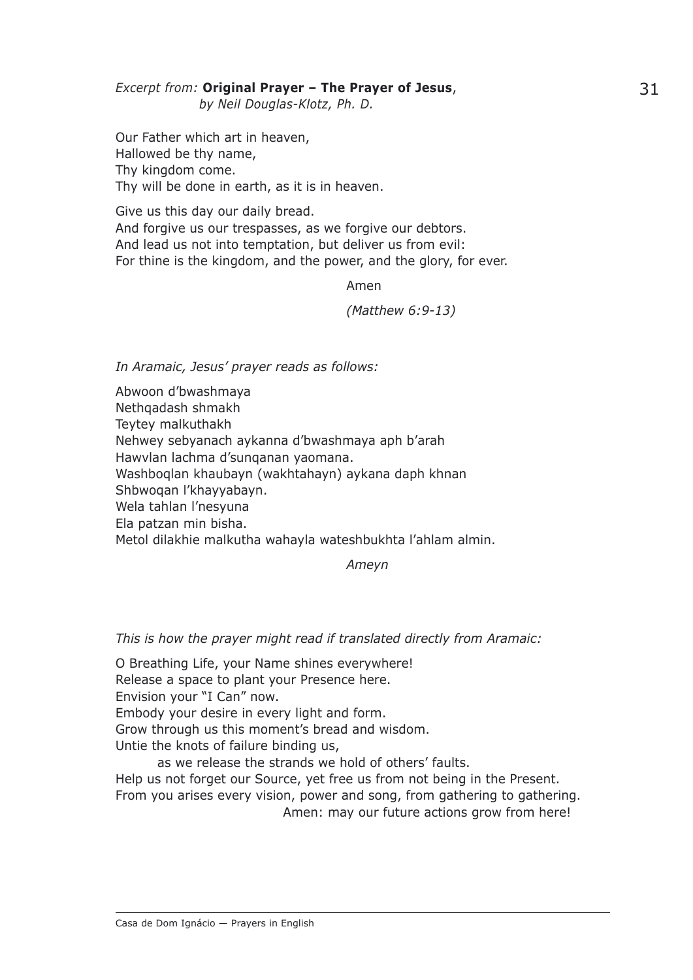#### *Excerpt from:* Original Prayer – The Prayer of Jesus, 31

 *by Neil Douglas-Klotz, Ph. D.*

Our Father which art in heaven, Hallowed be thy name, Thy kingdom come. Thy will be done in earth, as it is in heaven.

Give us this day our daily bread. And forgive us our trespasses, as we forgive our debtors. And lead us not into temptation, but deliver us from evil: For thine is the kingdom, and the power, and the glory, for ever.

Amen

*(Matthew 6:9-13)*

*In Aramaic, Jesus' prayer reads as follows:*

Abwoon d'bwashmaya Nethqadash shmakh Teytey malkuthakh Nehwey sebyanach aykanna d'bwashmaya aph b'arah Hawvlan lachma d'sunqanan yaomana. Washboqlan khaubayn (wakhtahayn) aykana daph khnan Shbwoqan l'khayyabayn. Wela tahlan l'nesyuna Ela patzan min bisha. Metol dilakhie malkutha wahayla wateshbukhta l'ahlam almin.

*Ameyn*

*This is how the prayer might read if translated directly from Aramaic:*

O Breathing Life, your Name shines everywhere! Release a space to plant your Presence here. Envision your "I Can" now. Embody your desire in every light and form. Grow through us this moment's bread and wisdom. Untie the knots of failure binding us, as we release the strands we hold of others' faults. Help us not forget our Source, yet free us from not being in the Present.

From you arises every vision, power and song, from gathering to gathering. Amen: may our future actions grow from here!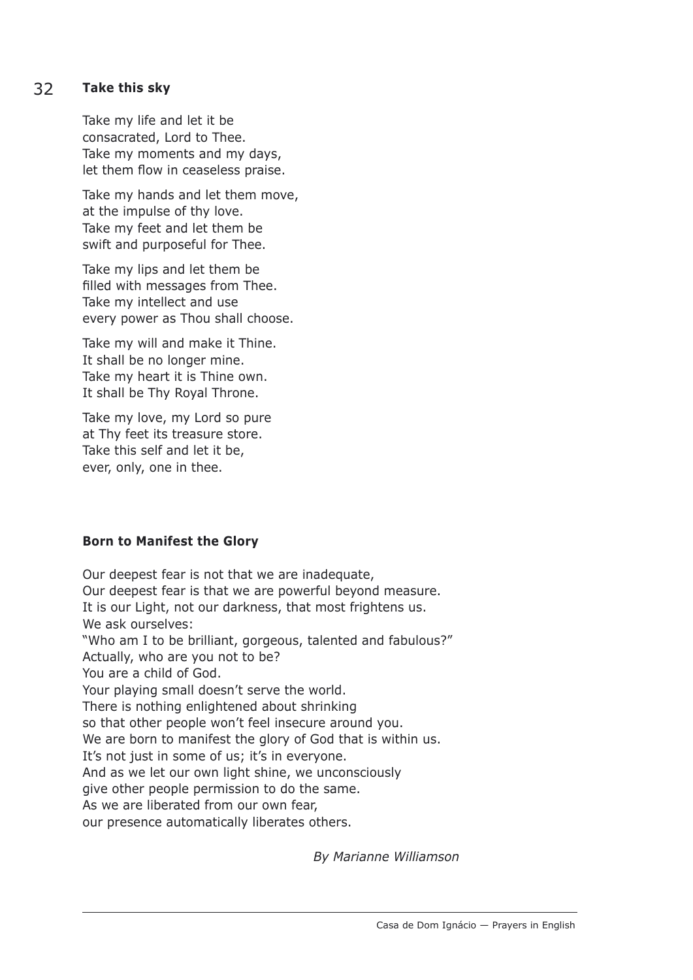# 32 **Take this sky**

Take my life and let it be consacrated, Lord to Thee. Take my moments and my days, let them flow in ceaseless praise.

Take my hands and let them move, at the impulse of thy love. Take my feet and let them be swift and purposeful for Thee.

Take my lips and let them be filled with messages from Thee. Take my intellect and use every power as Thou shall choose.

Take my will and make it Thine. It shall be no longer mine. Take my heart it is Thine own. It shall be Thy Royal Throne.

Take my love, my Lord so pure at Thy feet its treasure store. Take this self and let it be, ever, only, one in thee.

### **Born to Manifest the Glory**

Our deepest fear is not that we are inadequate, Our deepest fear is that we are powerful beyond measure. It is our Light, not our darkness, that most frightens us. We ask ourselves: "Who am I to be brilliant, gorgeous, talented and fabulous?" Actually, who are you not to be? You are a child of God. Your playing small doesn't serve the world. There is nothing enlightened about shrinking so that other people won't feel insecure around you. We are born to manifest the glory of God that is within us. It's not just in some of us; it's in everyone. And as we let our own light shine, we unconsciously give other people permission to do the same. As we are liberated from our own fear, our presence automatically liberates others.

*By Marianne Williamson*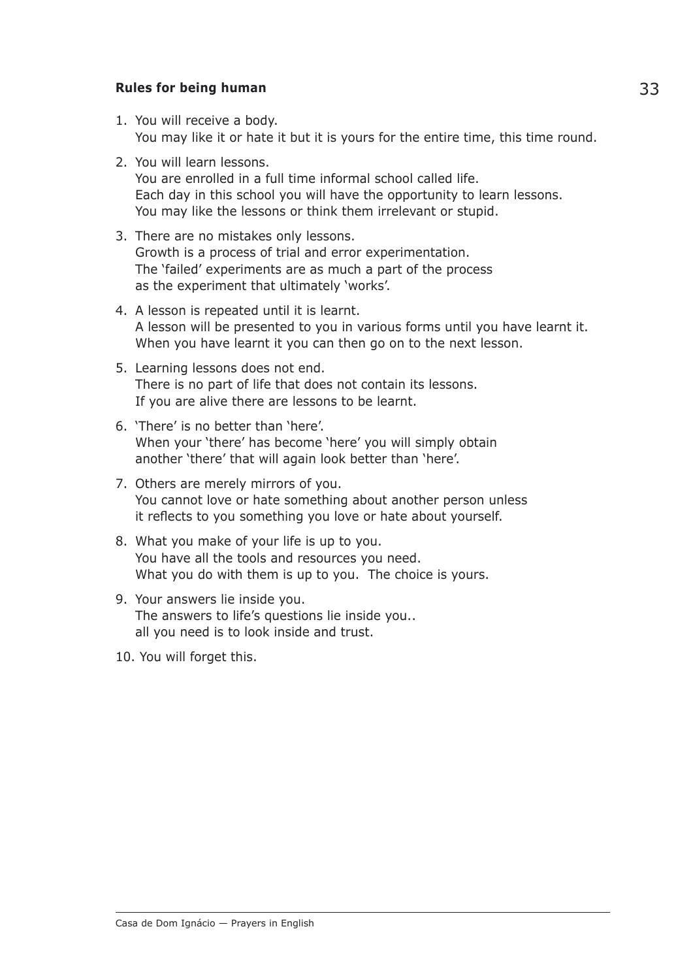#### **Rules for being human** 33

- 1. You will receive a body. You may like it or hate it but it is yours for the entire time, this time round.
- 2. You will learn lessons. You are enrolled in a full time informal school called life. Each day in this school you will have the opportunity to learn lessons. You may like the lessons or think them irrelevant or stupid.
- 3. There are no mistakes only lessons. Growth is a process of trial and error experimentation. The 'failed' experiments are as much a part of the process as the experiment that ultimately 'works'.
- 4. A lesson is repeated until it is learnt. A lesson will be presented to you in various forms until you have learnt it. When you have learnt it you can then go on to the next lesson.
- 5. Learning lessons does not end. There is no part of life that does not contain its lessons. If you are alive there are lessons to be learnt.
- 6. 'There' is no better than 'here'. When your 'there' has become 'here' you will simply obtain another 'there' that will again look better than 'here'.
- 7. Others are merely mirrors of you. You cannot love or hate something about another person unless it reflects to you something you love or hate about yourself.
- 8. What you make of your life is up to you. You have all the tools and resources you need. What you do with them is up to you. The choice is yours.
- 9. Your answers lie inside you. The answers to life's questions lie inside you.. all you need is to look inside and trust.
- 10. You will forget this.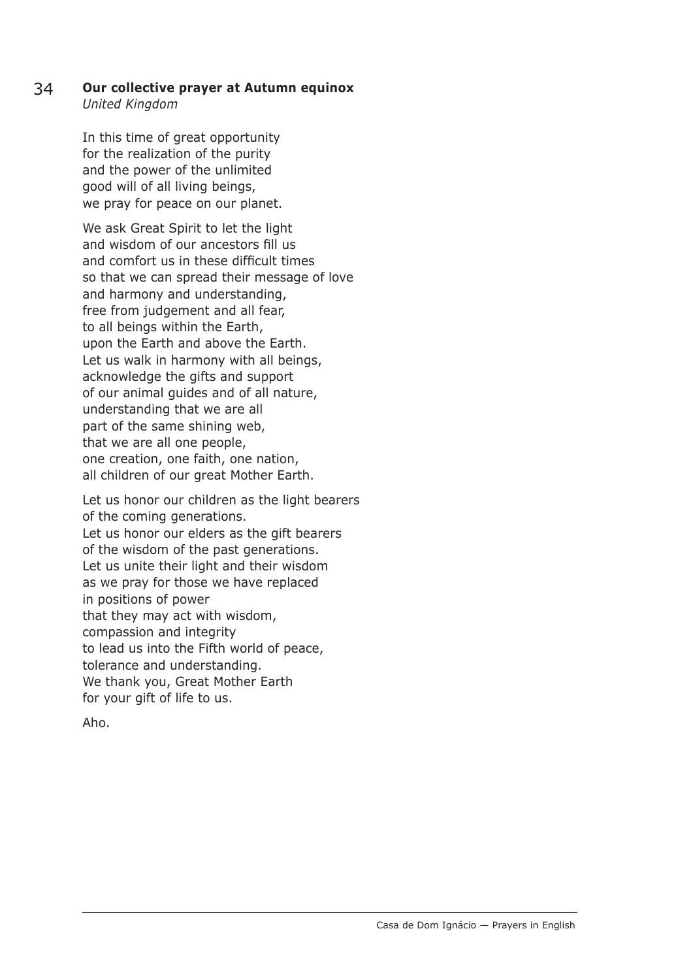# 34 **Our collective prayer at Autumn equinox**

*United Kingdom*

In this time of great opportunity for the realization of the purity and the power of the unlimited good will of all living beings, we pray for peace on our planet.

We ask Great Spirit to let the light and wisdom of our ancestors fill us and comfort us in these difficult times so that we can spread their message of love and harmony and understanding, free from judgement and all fear, to all beings within the Earth, upon the Earth and above the Earth. Let us walk in harmony with all beings, acknowledge the gifts and support of our animal guides and of all nature, understanding that we are all part of the same shining web, that we are all one people, one creation, one faith, one nation, all children of our great Mother Earth.

Let us honor our children as the light bearers of the coming generations. Let us honor our elders as the gift bearers of the wisdom of the past generations. Let us unite their light and their wisdom as we pray for those we have replaced in positions of power that they may act with wisdom, compassion and integrity to lead us into the Fifth world of peace, tolerance and understanding. We thank you, Great Mother Earth for your gift of life to us.

Aho.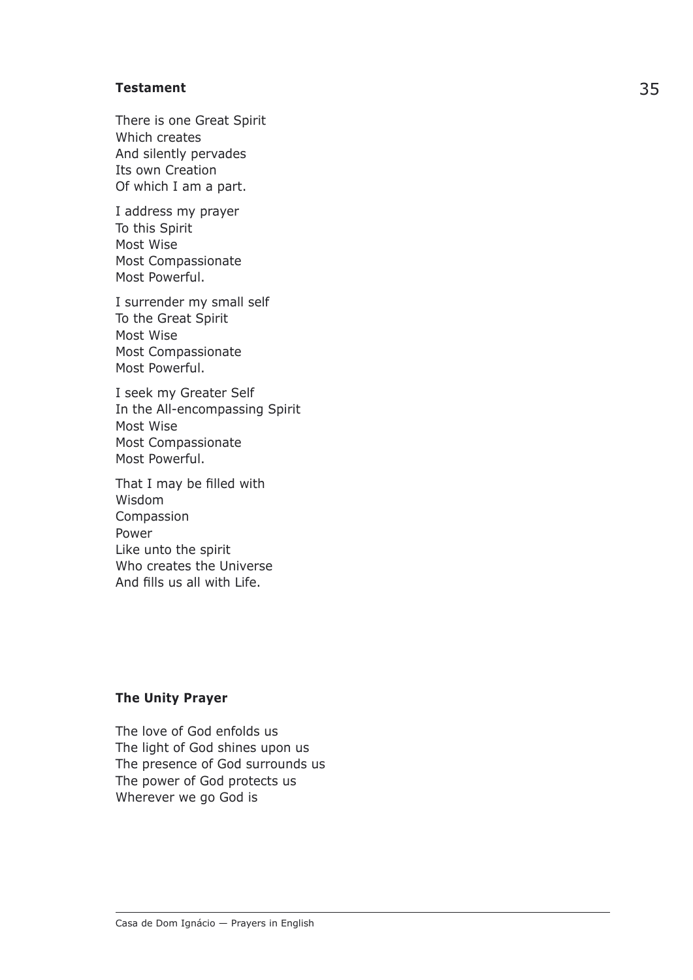# **Testament** 35

There is one Great Spirit Which creates And silently pervades Its own Creation Of which I am a part.

I address my prayer To this Spirit Most Wise Most Compassionate Most Powerful.

I surrender my small self To the Great Spirit Most Wise Most Compassionate Most Powerful.

I seek my Greater Self In the All-encompassing Spirit Most Wise Most Compassionate Most Powerful.

That I may be filled with Wisdom Compassion Power Like unto the spirit Who creates the Universe And fills us all with Life.

### **The Unity Prayer**

The love of God enfolds us The light of God shines upon us The presence of God surrounds us The power of God protects us Wherever we go God is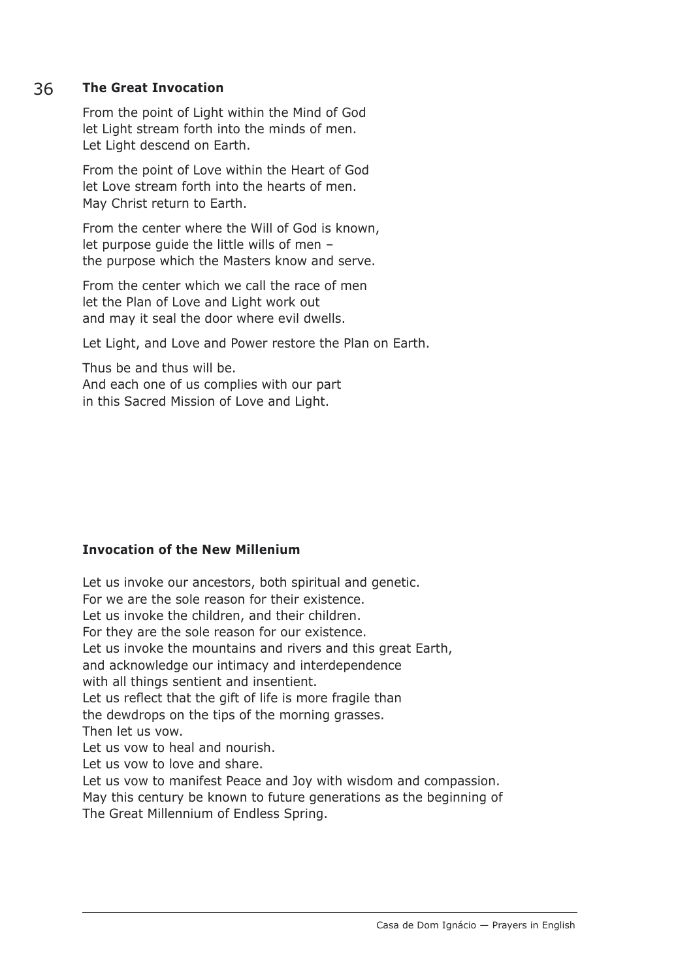### 36 **The Great Invocation**

From the point of Light within the Mind of God let Light stream forth into the minds of men. Let Light descend on Earth.

From the point of Love within the Heart of God let Love stream forth into the hearts of men. May Christ return to Earth.

From the center where the Will of God is known, let purpose guide the little wills of men – the purpose which the Masters know and serve.

From the center which we call the race of men let the Plan of Love and Light work out and may it seal the door where evil dwells.

Let Light, and Love and Power restore the Plan on Earth.

Thus be and thus will be. And each one of us complies with our part in this Sacred Mission of Love and Light.

### **Invocation of the New Millenium**

Let us invoke our ancestors, both spiritual and genetic. For we are the sole reason for their existence. Let us invoke the children, and their children. For they are the sole reason for our existence. Let us invoke the mountains and rivers and this great Earth, and acknowledge our intimacy and interdependence with all things sentient and insentient. Let us reflect that the gift of life is more fragile than the dewdrops on the tips of the morning grasses. Then let us vow. Let us vow to heal and nourish. Let us vow to love and share. Let us vow to manifest Peace and Joy with wisdom and compassion. May this century be known to future generations as the beginning of The Great Millennium of Endless Spring.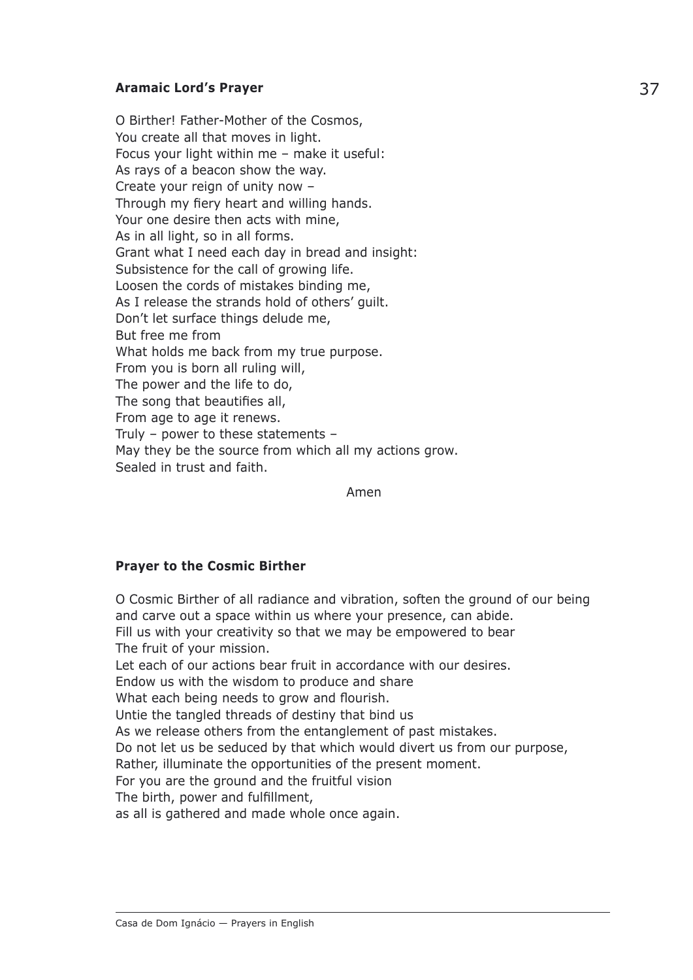#### **Aramaic Lord's Prayer** 37

O Birther! Father-Mother of the Cosmos, You create all that moves in light. Focus your light within me – make it useful: As rays of a beacon show the way. Create your reign of unity now – Through my fiery heart and willing hands. Your one desire then acts with mine, As in all light, so in all forms. Grant what I need each day in bread and insight: Subsistence for the call of growing life. Loosen the cords of mistakes binding me, As I release the strands hold of others' guilt. Don't let surface things delude me, But free me from What holds me back from my true purpose. From you is born all ruling will, The power and the life to do, The song that beautifies all, From age to age it renews. Truly – power to these statements – May they be the source from which all my actions grow. Sealed in trust and faith.

Amen

#### **Prayer to the Cosmic Birther**

O Cosmic Birther of all radiance and vibration, soften the ground of our being and carve out a space within us where your presence, can abide. Fill us with your creativity so that we may be empowered to bear The fruit of your mission. Let each of our actions bear fruit in accordance with our desires. Endow us with the wisdom to produce and share What each being needs to grow and flourish. Untie the tangled threads of destiny that bind us As we release others from the entanglement of past mistakes. Do not let us be seduced by that which would divert us from our purpose, Rather, illuminate the opportunities of the present moment. For you are the ground and the fruitful vision The birth, power and fulfillment, as all is gathered and made whole once again.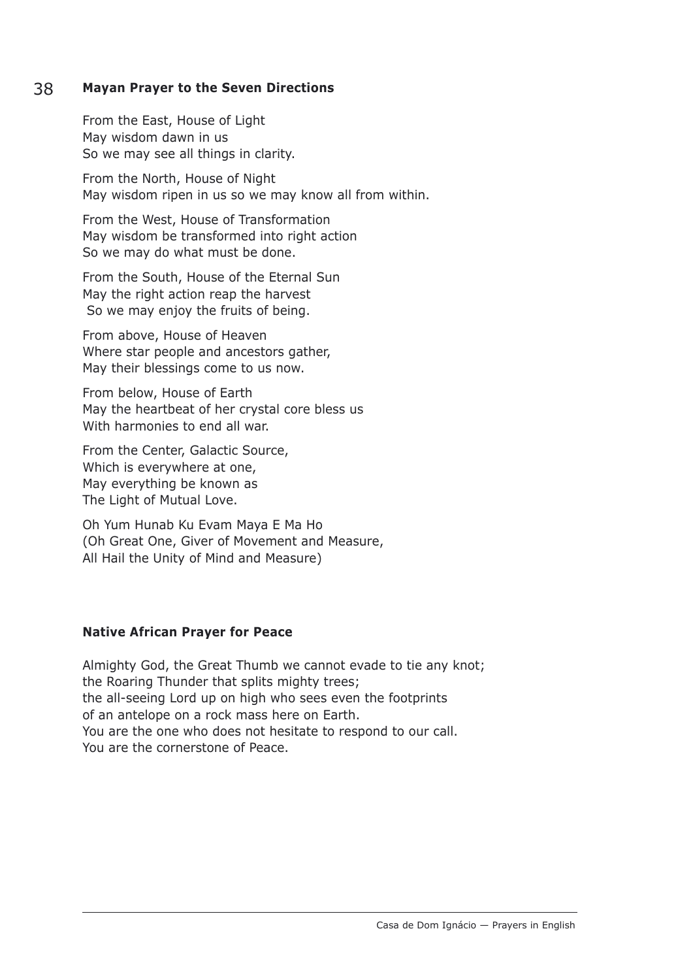#### 38 **Mayan Prayer to the Seven Directions**

From the East, House of Light May wisdom dawn in us So we may see all things in clarity.

From the North, House of Night May wisdom ripen in us so we may know all from within.

From the West, House of Transformation May wisdom be transformed into right action So we may do what must be done.

From the South, House of the Eternal Sun May the right action reap the harvest So we may enjoy the fruits of being.

From above, House of Heaven Where star people and ancestors gather, May their blessings come to us now.

From below, House of Earth May the heartbeat of her crystal core bless us With harmonies to end all war.

From the Center, Galactic Source, Which is everywhere at one, May everything be known as The Light of Mutual Love.

Oh Yum Hunab Ku Evam Maya E Ma Ho (Oh Great One, Giver of Movement and Measure, All Hail the Unity of Mind and Measure)

### **Native African Prayer for Peace**

Almighty God, the Great Thumb we cannot evade to tie any knot; the Roaring Thunder that splits mighty trees; the all-seeing Lord up on high who sees even the footprints of an antelope on a rock mass here on Earth. You are the one who does not hesitate to respond to our call. You are the cornerstone of Peace.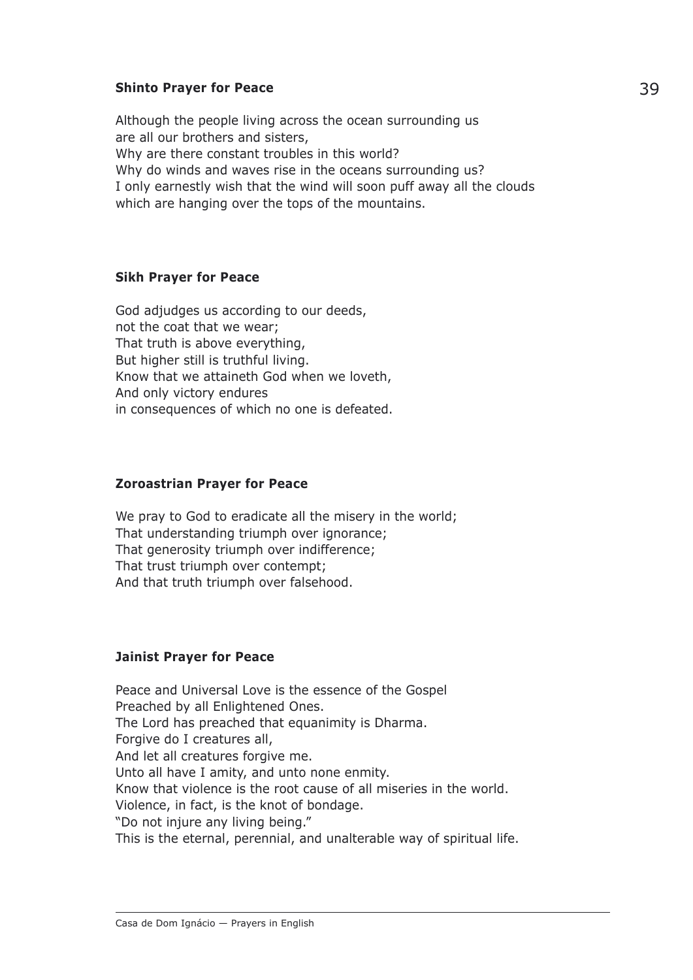#### **Shinto Prayer for Peace** 39

Although the people living across the ocean surrounding us are all our brothers and sisters, Why are there constant troubles in this world? Why do winds and waves rise in the oceans surrounding us? I only earnestly wish that the wind will soon puff away all the clouds which are hanging over the tops of the mountains.

### **Sikh Prayer for Peace**

God adjudges us according to our deeds, not the coat that we wear; That truth is above everything, But higher still is truthful living. Know that we attaineth God when we loveth, And only victory endures in consequences of which no one is defeated.

#### **Zoroastrian Prayer for Peace**

We pray to God to eradicate all the misery in the world: That understanding triumph over ignorance; That generosity triumph over indifference; That trust triumph over contempt; And that truth triumph over falsehood.

#### **Jainist Prayer for Peace**

Peace and Universal Love is the essence of the Gospel Preached by all Enlightened Ones. The Lord has preached that equanimity is Dharma. Forgive do I creatures all, And let all creatures forgive me. Unto all have I amity, and unto none enmity. Know that violence is the root cause of all miseries in the world. Violence, in fact, is the knot of bondage. "Do not injure any living being." This is the eternal, perennial, and unalterable way of spiritual life.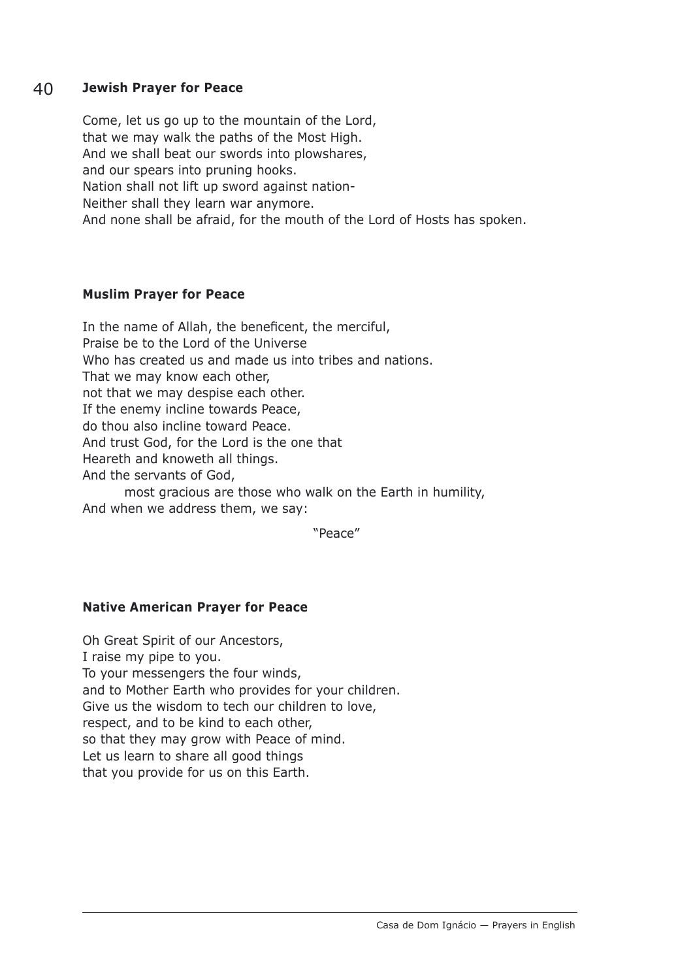### 40 **Jewish Prayer for Peace**

Come, let us go up to the mountain of the Lord, that we may walk the paths of the Most High. And we shall beat our swords into plowshares, and our spears into pruning hooks. Nation shall not lift up sword against nation-Neither shall they learn war anymore. And none shall be afraid, for the mouth of the Lord of Hosts has spoken.

#### **Muslim Prayer for Peace**

In the name of Allah, the beneficent, the merciful, Praise be to the Lord of the Universe Who has created us and made us into tribes and nations. That we may know each other, not that we may despise each other. If the enemy incline towards Peace, do thou also incline toward Peace. And trust God, for the Lord is the one that Heareth and knoweth all things. And the servants of God, most gracious are those who walk on the Earth in humility, And when we address them, we say:

"Peace"

### **Native American Prayer for Peace**

Oh Great Spirit of our Ancestors, I raise my pipe to you. To your messengers the four winds, and to Mother Earth who provides for your children. Give us the wisdom to tech our children to love, respect, and to be kind to each other, so that they may grow with Peace of mind. Let us learn to share all good things that you provide for us on this Earth.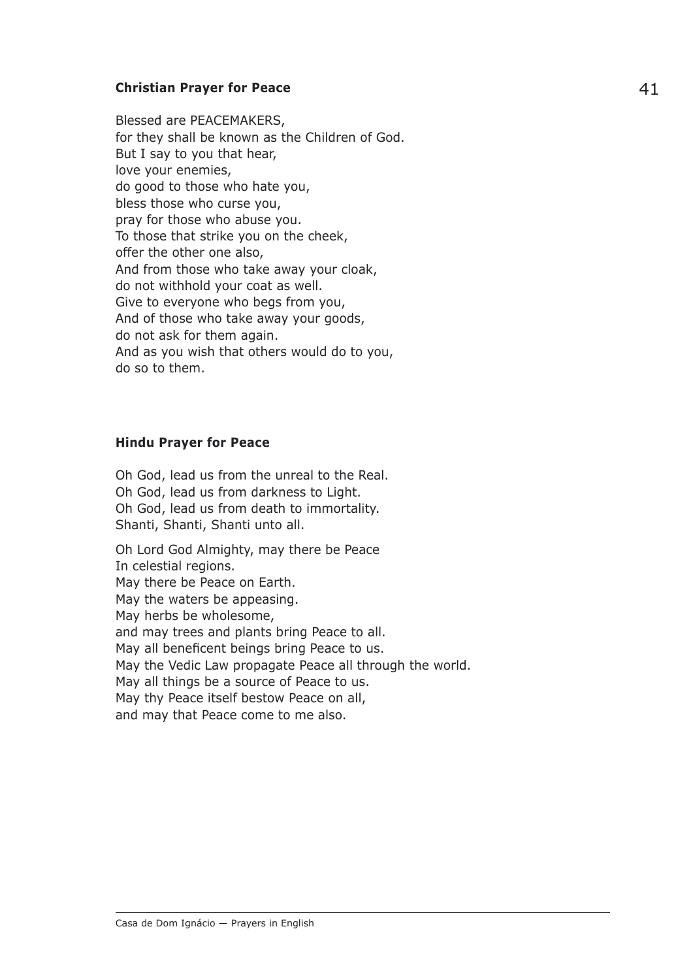#### **Christian Prayer for Peace** 41

Blessed are PEACEMAKERS, for they shall be known as the Children of God. But I say to you that hear, love your enemies, do good to those who hate you, bless those who curse you, pray for those who abuse you. To those that strike you on the cheek, offer the other one also, And from those who take away your cloak, do not withhold your coat as well. Give to everyone who begs from you, And of those who take away your goods, do not ask for them again. And as you wish that others would do to you, do so to them.

#### **Hindu Prayer for Peace**

Oh God, lead us from the unreal to the Real. Oh God, lead us from darkness to Light. Oh God, lead us from death to immortality. Shanti, Shanti, Shanti unto all.

Oh Lord God Almighty, may there be Peace In celestial regions. May there be Peace on Earth. May the waters be appeasing. May herbs be wholesome, and may trees and plants bring Peace to all. May all beneficent beings bring Peace to us. May the Vedic Law propagate Peace all through the world. May all things be a source of Peace to us. May thy Peace itself bestow Peace on all, and may that Peace come to me also.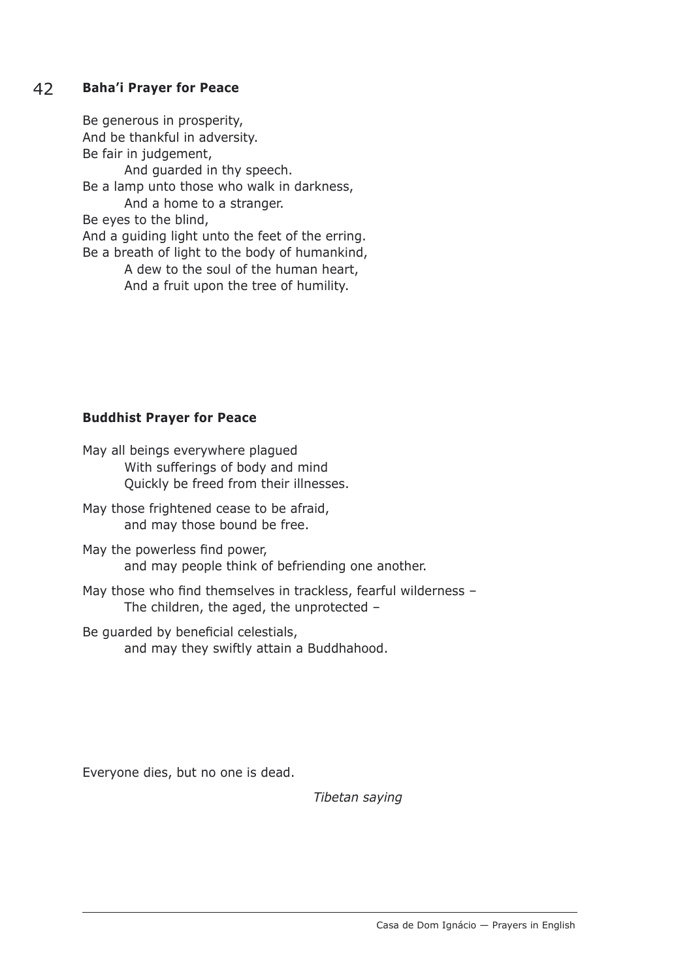# 42 **Baha'i Prayer for Peace**

Be generous in prosperity, And be thankful in adversity. Be fair in judgement, And guarded in thy speech. Be a lamp unto those who walk in darkness, And a home to a stranger. Be eyes to the blind, And a guiding light unto the feet of the erring. Be a breath of light to the body of humankind, A dew to the soul of the human heart, And a fruit upon the tree of humility.

# **Buddhist Prayer for Peace**

May all beings everywhere plagued With sufferings of body and mind Quickly be freed from their illnesses.

May those frightened cease to be afraid, and may those bound be free.

May the powerless find power, and may people think of befriending one another.

May those who find themselves in trackless, fearful wilderness – The children, the aged, the unprotected –

Be guarded by beneficial celestials, and may they swiftly attain a Buddhahood.

Everyone dies, but no one is dead.

*Tibetan saying*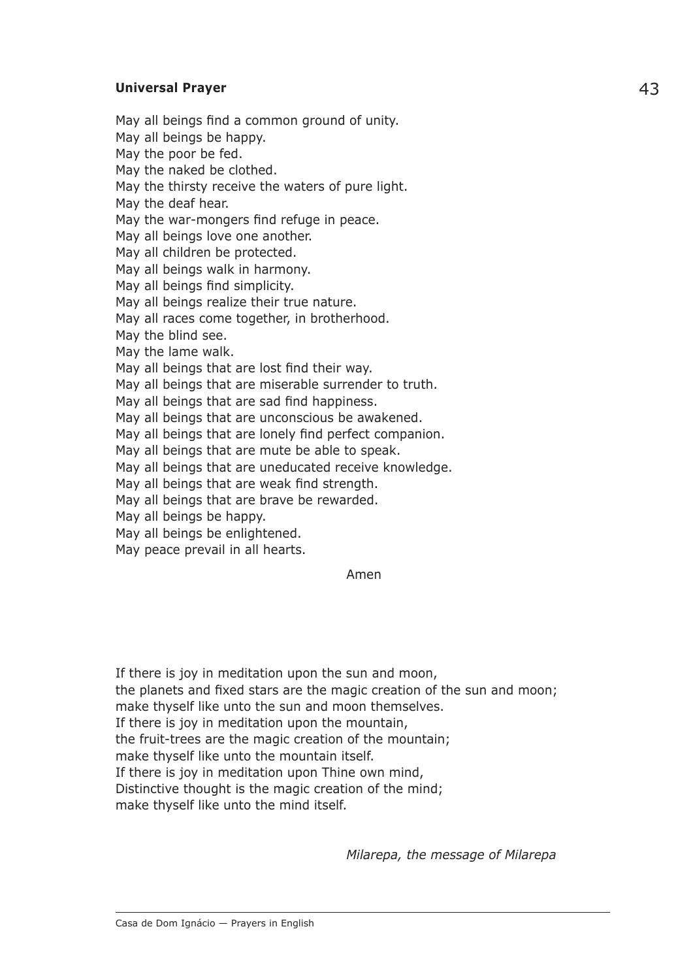#### **Universal Prayer** 43

May all beings find a common ground of unity. May all beings be happy. May the poor be fed. May the naked be clothed. May the thirsty receive the waters of pure light. May the deaf hear. May the war-mongers find refuge in peace. May all beings love one another. May all children be protected. May all beings walk in harmony. May all beings find simplicity. May all beings realize their true nature. May all races come together, in brotherhood. May the blind see. May the lame walk. May all beings that are lost find their way. May all beings that are miserable surrender to truth. May all beings that are sad find happiness. May all beings that are unconscious be awakened. May all beings that are lonely find perfect companion. May all beings that are mute be able to speak. May all beings that are uneducated receive knowledge. May all beings that are weak find strength. May all beings that are brave be rewarded. May all beings be happy. May all beings be enlightened. May peace prevail in all hearts.

Amen

If there is joy in meditation upon the sun and moon, the planets and fixed stars are the magic creation of the sun and moon; make thyself like unto the sun and moon themselves. If there is joy in meditation upon the mountain, the fruit-trees are the magic creation of the mountain; make thyself like unto the mountain itself. If there is joy in meditation upon Thine own mind, Distinctive thought is the magic creation of the mind; make thyself like unto the mind itself.

*Milarepa, the message of Milarepa*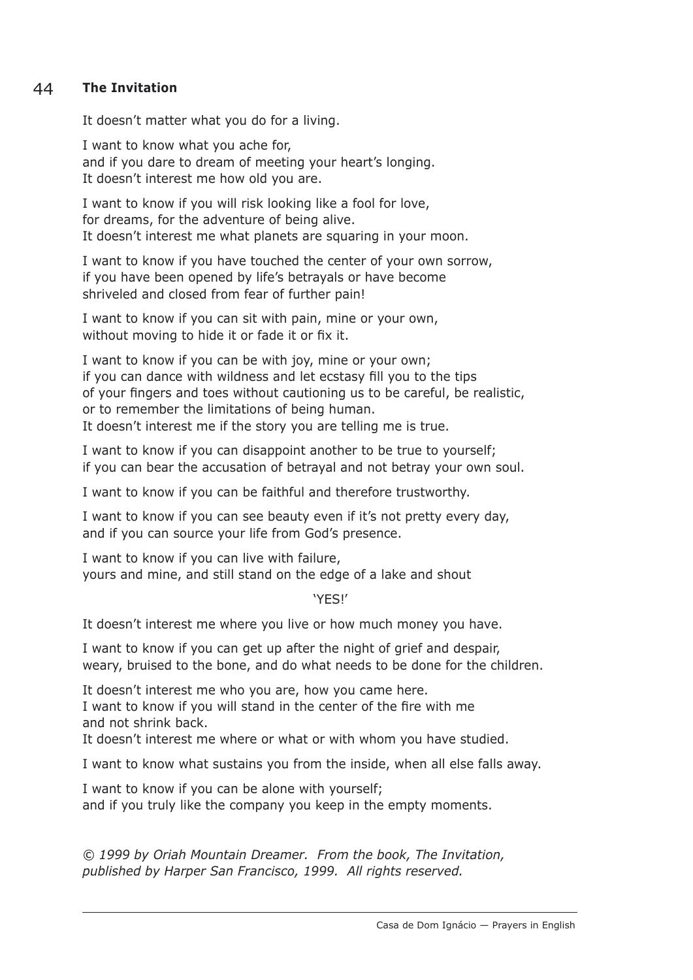# 44 **The Invitation**

It doesn't matter what you do for a living.

I want to know what you ache for, and if you dare to dream of meeting your heart's longing. It doesn't interest me how old you are.

I want to know if you will risk looking like a fool for love, for dreams, for the adventure of being alive. It doesn't interest me what planets are squaring in your moon.

I want to know if you have touched the center of your own sorrow, if you have been opened by life's betrayals or have become shriveled and closed from fear of further pain!

I want to know if you can sit with pain, mine or your own, without moving to hide it or fade it or fix it.

I want to know if you can be with joy, mine or your own; if you can dance with wildness and let ecstasy fill you to the tips of your fingers and toes without cautioning us to be careful, be realistic, or to remember the limitations of being human. It doesn't interest me if the story you are telling me is true.

I want to know if you can disappoint another to be true to yourself; if you can bear the accusation of betrayal and not betray your own soul.

I want to know if you can be faithful and therefore trustworthy.

I want to know if you can see beauty even if it's not pretty every day, and if you can source your life from God's presence.

I want to know if you can live with failure, yours and mine, and still stand on the edge of a lake and shout

'YES!'

It doesn't interest me where you live or how much money you have.

I want to know if you can get up after the night of grief and despair, weary, bruised to the bone, and do what needs to be done for the children.

It doesn't interest me who you are, how you came here.

I want to know if you will stand in the center of the fire with me and not shrink back.

It doesn't interest me where or what or with whom you have studied.

I want to know what sustains you from the inside, when all else falls away.

I want to know if you can be alone with yourself; and if you truly like the company you keep in the empty moments.

*© 1999 by Oriah Mountain Dreamer. From the book, The Invitation, published by Harper San Francisco, 1999. All rights reserved.*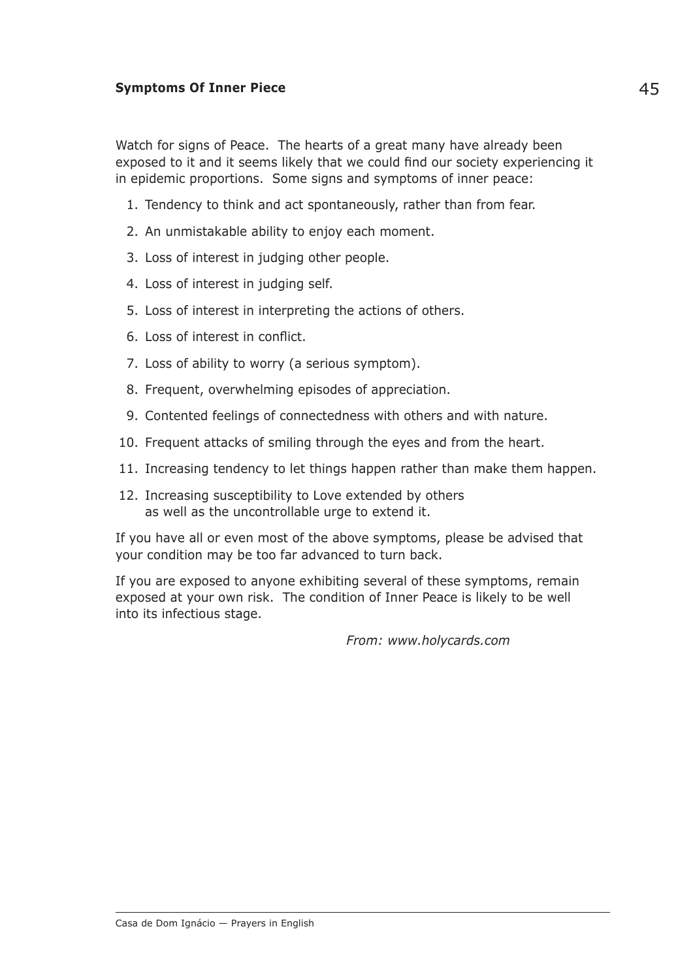### **Symptoms Of Inner Piece** 45

Watch for signs of Peace. The hearts of a great many have already been exposed to it and it seems likely that we could find our society experiencing it in epidemic proportions. Some signs and symptoms of inner peace:

- 1. Tendency to think and act spontaneously, rather than from fear.
- 2. An unmistakable ability to enjoy each moment.
- 3. Loss of interest in judging other people.
- 4. Loss of interest in judging self.
- 5. Loss of interest in interpreting the actions of others.
- 6. Loss of interest in conflict.
- 7. Loss of ability to worry (a serious symptom).
- 8. Frequent, overwhelming episodes of appreciation.
- 9. Contented feelings of connectedness with others and with nature.
- 10. Frequent attacks of smiling through the eyes and from the heart.
- 11. Increasing tendency to let things happen rather than make them happen.
- 12. Increasing susceptibility to Love extended by others as well as the uncontrollable urge to extend it.

If you have all or even most of the above symptoms, please be advised that your condition may be too far advanced to turn back.

If you are exposed to anyone exhibiting several of these symptoms, remain exposed at your own risk. The condition of Inner Peace is likely to be well into its infectious stage.

*From: www.holycards.com*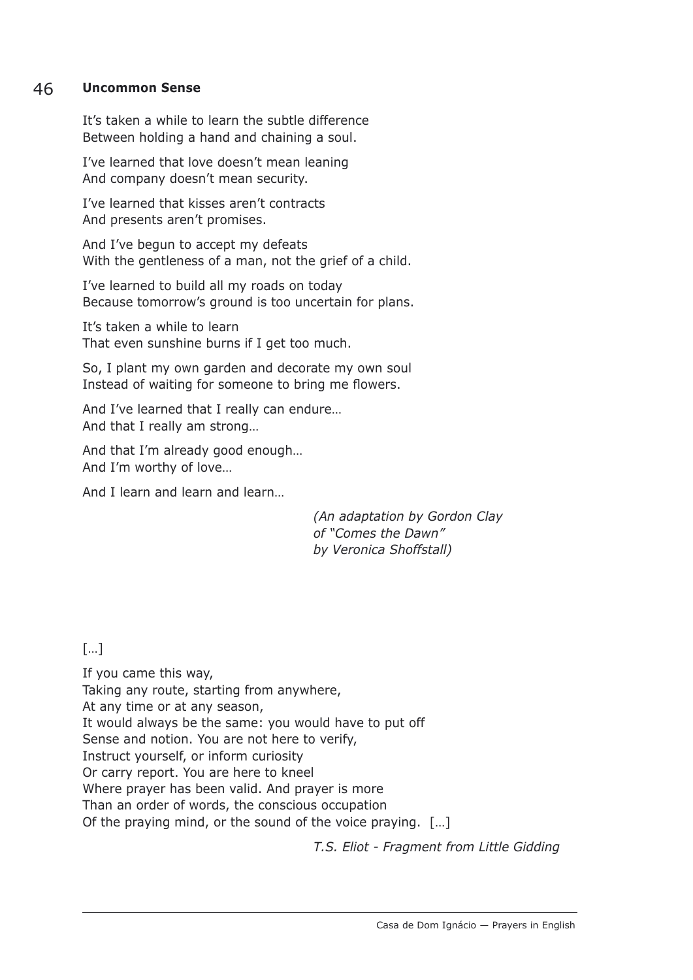### 46 **Uncommon Sense**

It's taken a while to learn the subtle difference Between holding a hand and chaining a soul.

I've learned that love doesn't mean leaning And company doesn't mean security.

I've learned that kisses aren't contracts And presents aren't promises.

And I've begun to accept my defeats With the gentleness of a man, not the grief of a child.

I've learned to build all my roads on today Because tomorrow's ground is too uncertain for plans.

It's taken a while to learn That even sunshine burns if I get too much.

So, I plant my own garden and decorate my own soul Instead of waiting for someone to bring me flowers.

And I've learned that I really can endure… And that I really am strong…

And that I'm already good enough… And I'm worthy of love…

And I learn and learn and learn…

*(An adaptation by Gordon Clay of "Comes the Dawn" by Veronica Shoffstall)*

[…]

If you came this way, Taking any route, starting from anywhere, At any time or at any season, It would always be the same: you would have to put off Sense and notion. You are not here to verify, Instruct yourself, or inform curiosity Or carry report. You are here to kneel Where prayer has been valid. And prayer is more Than an order of words, the conscious occupation Of the praying mind, or the sound of the voice praying. […]

*T.S. Eliot - Fragment from Little Gidding*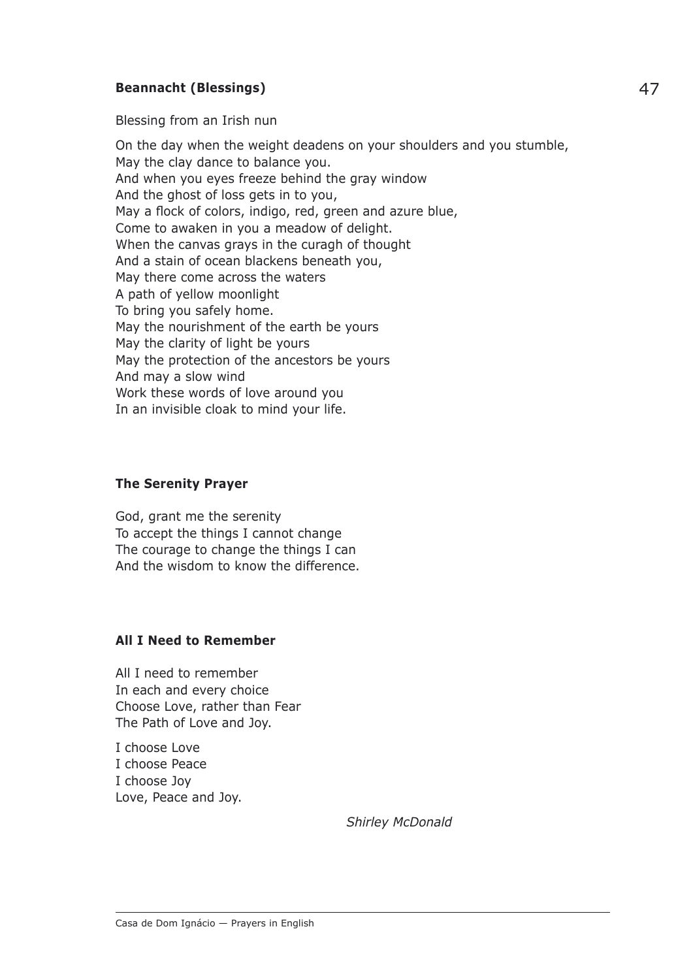# **Beannacht (Blessings)** 47

Blessing from an Irish nun

On the day when the weight deadens on your shoulders and you stumble, May the clay dance to balance you. And when you eyes freeze behind the gray window And the ghost of loss gets in to you, May a flock of colors, indigo, red, green and azure blue, Come to awaken in you a meadow of delight. When the canvas grays in the curagh of thought And a stain of ocean blackens beneath you, May there come across the waters A path of yellow moonlight To bring you safely home. May the nourishment of the earth be yours May the clarity of light be yours May the protection of the ancestors be yours And may a slow wind Work these words of love around you In an invisible cloak to mind your life.

# **The Serenity Prayer**

God, grant me the serenity To accept the things I cannot change The courage to change the things I can And the wisdom to know the difference.

### **All I Need to Remember**

All I need to remember In each and every choice Choose Love, rather than Fear The Path of Love and Joy.

I choose Love I choose Peace I choose Joy Love, Peace and Joy.

*Shirley McDonald*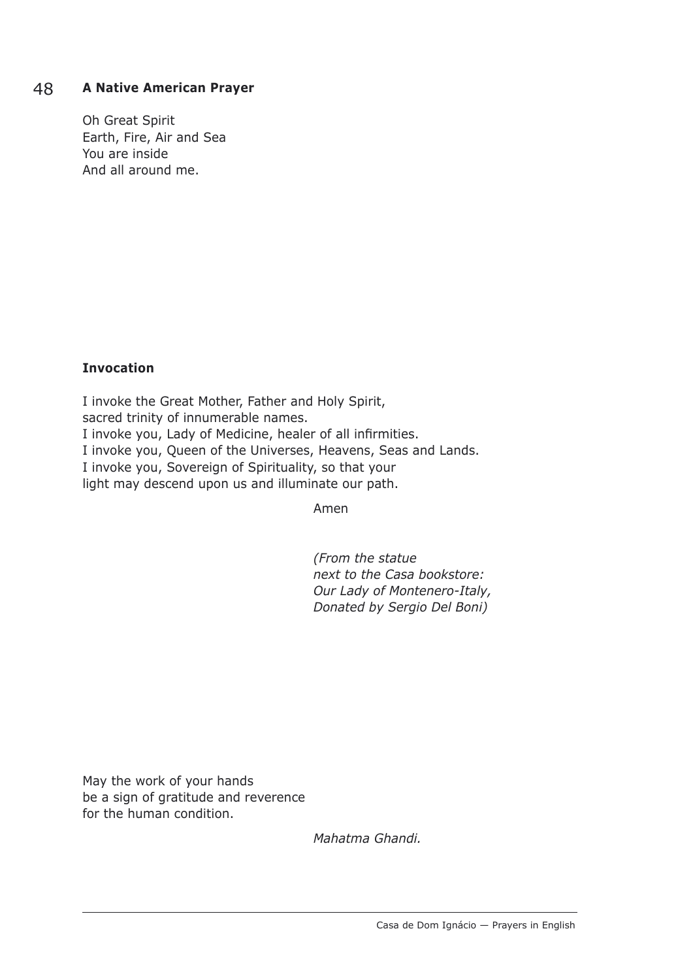# 48 **A Native American Prayer**

Oh Great Spirit Earth, Fire, Air and Sea You are inside And all around me.

# **Invocation**

I invoke the Great Mother, Father and Holy Spirit, sacred trinity of innumerable names. I invoke you, Lady of Medicine, healer of all infirmities. I invoke you, Queen of the Universes, Heavens, Seas and Lands. I invoke you, Sovereign of Spirituality, so that your light may descend upon us and illuminate our path.

Amen

*(From the statue next to the Casa bookstore: Our Lady of Montenero-Italy, Donated by Sergio Del Boni)*

May the work of your hands be a sign of gratitude and reverence for the human condition.

*Mahatma Ghandi.*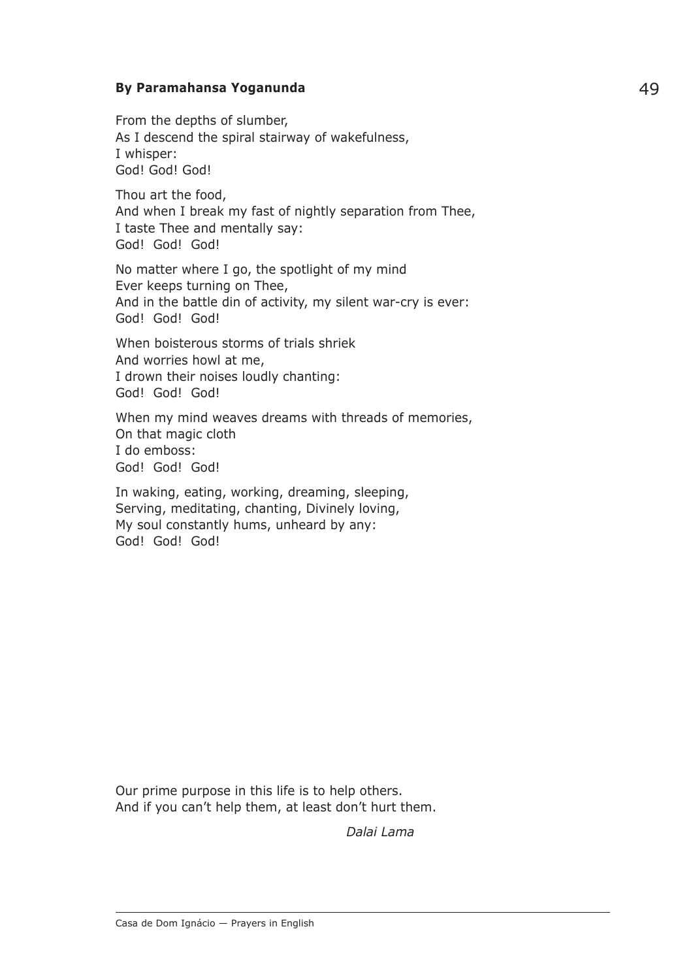#### **By Paramahansa Yoganunda** 49

From the depths of slumber, As I descend the spiral stairway of wakefulness, I whisper: God! God! God!

Thou art the food, And when I break my fast of nightly separation from Thee, I taste Thee and mentally say: God! God! God!

No matter where I go, the spotlight of my mind Ever keeps turning on Thee, And in the battle din of activity, my silent war-cry is ever: God! God! God!

When boisterous storms of trials shriek And worries howl at me, I drown their noises loudly chanting: God! God! God!

When my mind weaves dreams with threads of memories, On that magic cloth I do emboss: God! God! God!

In waking, eating, working, dreaming, sleeping, Serving, meditating, chanting, Divinely loving, My soul constantly hums, unheard by any: God! God! God!

Our prime purpose in this life is to help others. And if you can't help them, at least don't hurt them.

*Dalai Lama*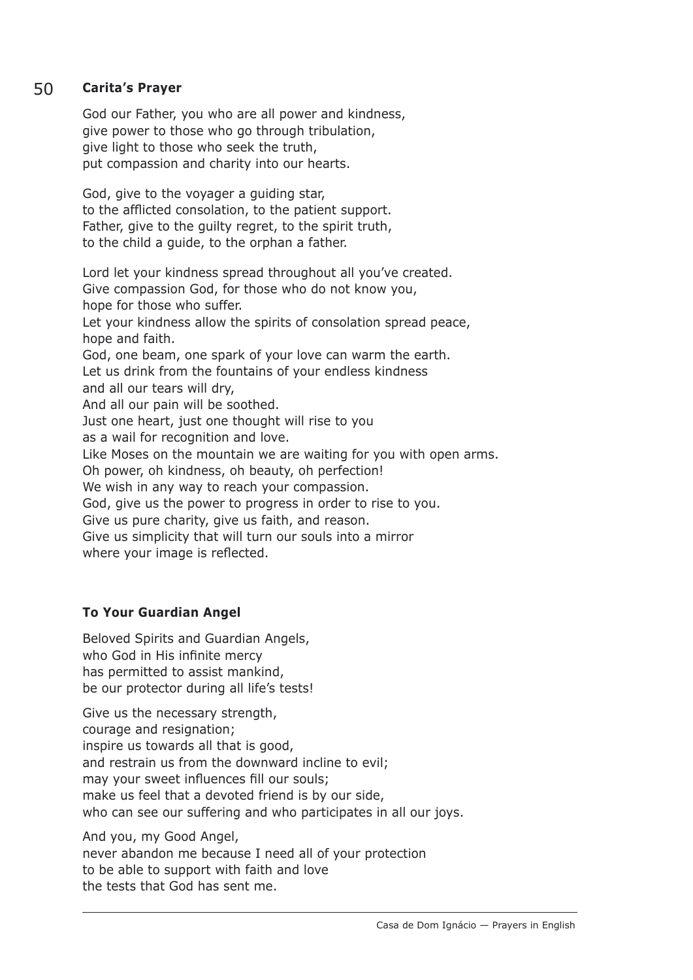# 50 **Carita's Prayer**

God our Father, you who are all power and kindness, give power to those who go through tribulation, give light to those who seek the truth, put compassion and charity into our hearts.

God, give to the voyager a guiding star, to the afflicted consolation, to the patient support. Father, give to the guilty regret, to the spirit truth, to the child a guide, to the orphan a father.

Lord let your kindness spread throughout all you've created. Give compassion God, for those who do not know you, hope for those who suffer. Let your kindness allow the spirits of consolation spread peace, hope and faith. God, one beam, one spark of your love can warm the earth. Let us drink from the fountains of your endless kindness and all our tears will dry, And all our pain will be soothed. Just one heart, just one thought will rise to you as a wail for recognition and love. Like Moses on the mountain we are waiting for you with open arms. Oh power, oh kindness, oh beauty, oh perfection! We wish in any way to reach your compassion. God, give us the power to progress in order to rise to you. Give us pure charity, give us faith, and reason. Give us simplicity that will turn our souls into a mirror where your image is reflected.

# **To Your Guardian Angel**

Beloved Spirits and Guardian Angels, who God in His infinite mercy has permitted to assist mankind, be our protector during all life's tests!

Give us the necessary strength, courage and resignation; inspire us towards all that is good, and restrain us from the downward incline to evil; may your sweet influences fill our souls; make us feel that a devoted friend is by our side, who can see our suffering and who participates in all our joys.

And you, my Good Angel, never abandon me because I need all of your protection to be able to support with faith and love the tests that God has sent me.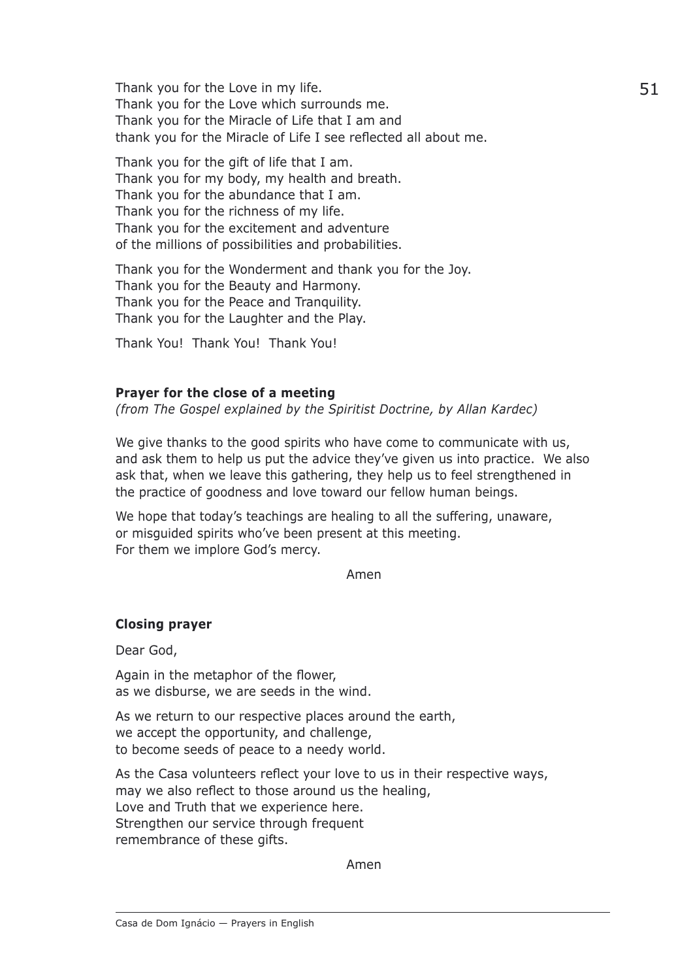Thank you for the Love in my life. Thank you for the Love in my life. Thank you for the Love which surrounds me. Thank you for the Miracle of Life that I am and thank you for the Miracle of Life I see reflected all about me.

Thank you for the gift of life that I am. Thank you for my body, my health and breath. Thank you for the abundance that I am. Thank you for the richness of my life. Thank you for the excitement and adventure of the millions of possibilities and probabilities.

Thank you for the Wonderment and thank you for the Joy. Thank you for the Beauty and Harmony. Thank you for the Peace and Tranquility. Thank you for the Laughter and the Play.

Thank You! Thank You! Thank You!

#### **Prayer for the close of a meeting**

*(from The Gospel explained by the Spiritist Doctrine, by Allan Kardec)*

We give thanks to the good spirits who have come to communicate with us, and ask them to help us put the advice they've given us into practice. We also ask that, when we leave this gathering, they help us to feel strengthened in the practice of goodness and love toward our fellow human beings.

We hope that today's teachings are healing to all the suffering, unaware, or misguided spirits who've been present at this meeting. For them we implore God's mercy.

Amen

#### **Closing prayer**

Dear God,

Again in the metaphor of the flower, as we disburse, we are seeds in the wind.

As we return to our respective places around the earth, we accept the opportunity, and challenge, to become seeds of peace to a needy world.

As the Casa volunteers reflect your love to us in their respective ways, may we also reflect to those around us the healing, Love and Truth that we experience here. Strengthen our service through frequent remembrance of these gifts.

Amen